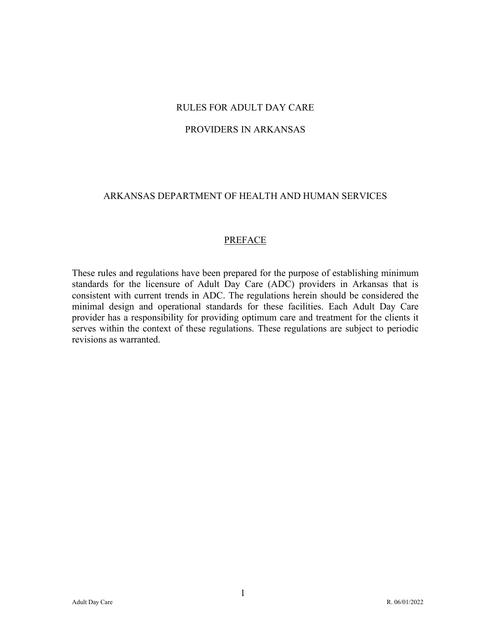# RULES FOR ADULT DAY CARE

#### PROVIDERS IN ARKANSAS

# ARKANSAS DEPARTMENT OF HEALTH AND HUMAN SERVICES

#### PREFACE

These rules and regulations have been prepared for the purpose of establishing minimum standards for the licensure of Adult Day Care (ADC) providers in Arkansas that is consistent with current trends in ADC. The regulations herein should be considered the minimal design and operational standards for these facilities. Each Adult Day Care provider has a responsibility for providing optimum care and treatment for the clients it serves within the context of these regulations. These regulations are subject to periodic revisions as warranted.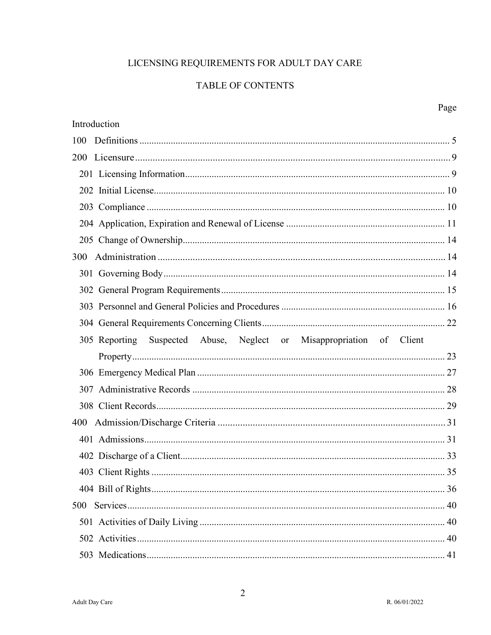# LICENSING REQUIREMENTS FOR ADULT DAY CARE

# TABLE OF CONTENTS

|                                                                         | Page |
|-------------------------------------------------------------------------|------|
| Introduction                                                            |      |
| 100                                                                     |      |
| <b>200</b>                                                              |      |
|                                                                         |      |
|                                                                         |      |
|                                                                         |      |
|                                                                         |      |
|                                                                         |      |
| 300                                                                     |      |
|                                                                         |      |
|                                                                         |      |
|                                                                         |      |
|                                                                         |      |
| Suspected Abuse, Neglect or Misappropriation of Client<br>305 Reporting |      |
|                                                                         |      |
|                                                                         |      |
| 307                                                                     |      |
|                                                                         |      |
| 400                                                                     |      |
|                                                                         |      |
|                                                                         |      |
|                                                                         |      |
|                                                                         |      |
| 500                                                                     |      |
|                                                                         |      |
|                                                                         |      |
|                                                                         |      |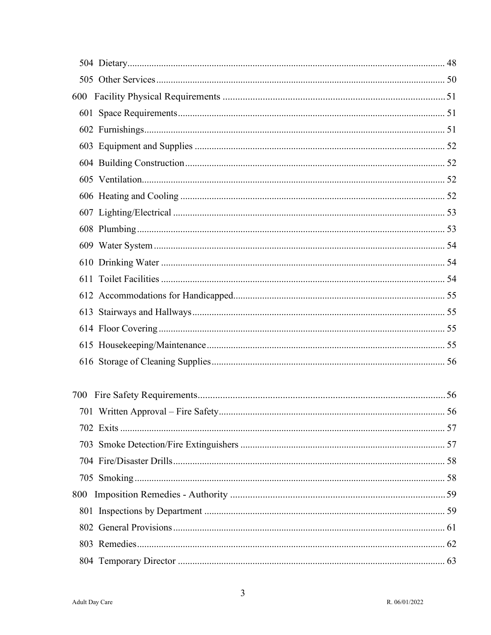| 600 |  |
|-----|--|
|     |  |
|     |  |
|     |  |
|     |  |
|     |  |
|     |  |
|     |  |
|     |  |
|     |  |
|     |  |
|     |  |
|     |  |
|     |  |
|     |  |
|     |  |
|     |  |
|     |  |
|     |  |
|     |  |
|     |  |
|     |  |
|     |  |
|     |  |
| 800 |  |
|     |  |
|     |  |
|     |  |
|     |  |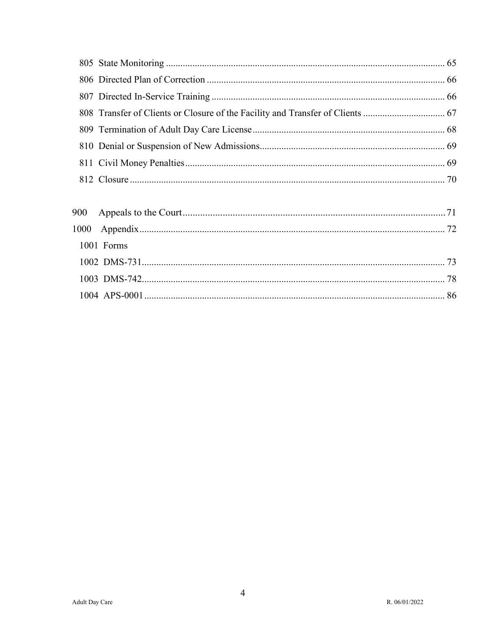| 1001 Forms |  |
|------------|--|
|            |  |
|            |  |
|            |  |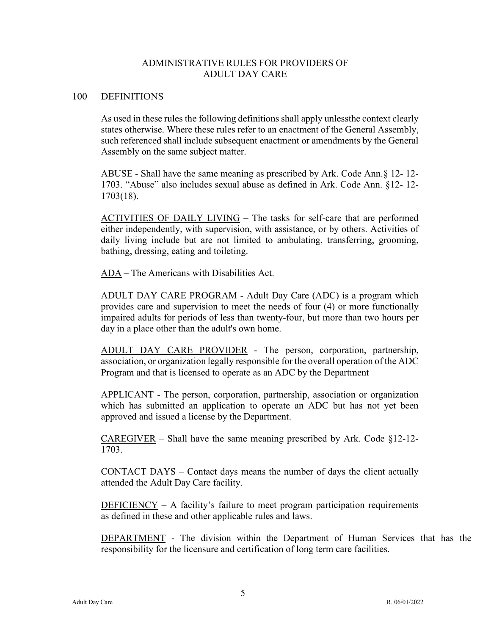# ADMINISTRATIVE RULES FOR PROVIDERS OF ADULT DAY CARE

#### 100 DEFINITIONS

As used in these rules the following definitions shall apply unlessthe context clearly states otherwise. Where these rules refer to an enactment of the General Assembly, such referenced shall include subsequent enactment or amendments by the General Assembly on the same subject matter.

ABUSE - Shall have the same meaning as prescribed by Ark. Code Ann.§ 12- 12- 1703. "Abuse" also includes sexual abuse as defined in Ark. Code Ann. §12- 12- 1703(18).

ACTIVITIES OF DAILY LIVING – The tasks for self-care that are performed either independently, with supervision, with assistance, or by others. Activities of daily living include but are not limited to ambulating, transferring, grooming, bathing, dressing, eating and toileting.

ADA – The Americans with Disabilities Act.

ADULT DAY CARE PROGRAM - Adult Day Care (ADC) is a program which provides care and supervision to meet the needs of four (4) or more functionally impaired adults for periods of less than twenty-four, but more than two hours per day in a place other than the adult's own home.

ADULT DAY CARE PROVIDER - The person, corporation, partnership, association, or organization legally responsible for the overall operation of the ADC Program and that is licensed to operate as an ADC by the Department

APPLICANT - The person, corporation, partnership, association or organization which has submitted an application to operate an ADC but has not yet been approved and issued a license by the Department.

CAREGIVER – Shall have the same meaning prescribed by Ark. Code §12-12- 1703.

CONTACT DAYS – Contact days means the number of days the client actually attended the Adult Day Care facility.

 $DEFICIENCY - A$  facility's failure to meet program participation requirements as defined in these and other applicable rules and laws.

DEPARTMENT - The division within the Department of Human Services that has the responsibility for the licensure and certification of long term care facilities.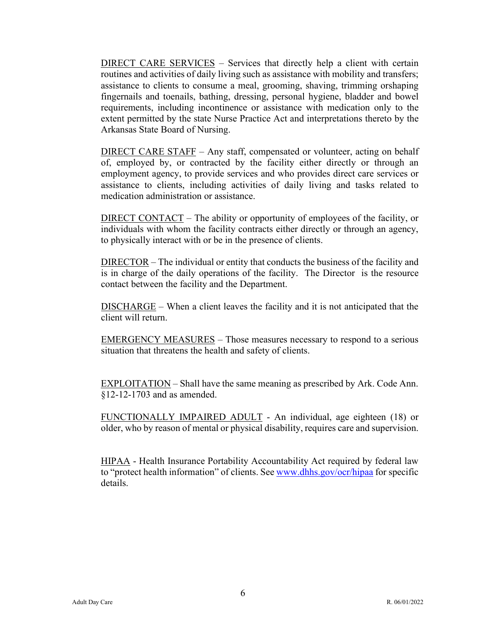DIRECT CARE SERVICES – Services that directly help a client with certain routines and activities of daily living such as assistance with mobility and transfers; assistance to clients to consume a meal, grooming, shaving, trimming or shaping fingernails and toenails, bathing, dressing, personal hygiene, bladder and bowel requirements, including incontinence or assistance with medication only to the extent permitted by the state Nurse Practice Act and interpretations thereto by the Arkansas State Board of Nursing.

DIRECT CARE STAFF – Any staff, compensated or volunteer, acting on behalf of, employed by, or contracted by the facility either directly or through an employment agency, to provide services and who provides direct care services or assistance to clients, including activities of daily living and tasks related to medication administration or assistance.

DIRECT CONTACT – The ability or opportunity of employees of the facility, or individuals with whom the facility contracts either directly or through an agency, to physically interact with or be in the presence of clients.

DIRECTOR – The individual or entity that conducts the business of the facility and is in charge of the daily operations of the facility. The Director is the resource contact between the facility and the Department.

DISCHARGE – When a client leaves the facility and it is not anticipated that the client will return.

EMERGENCY MEASURES – Those measures necessary to respond to a serious situation that threatens the health and safety of clients.

EXPLOITATION – Shall have the same meaning as prescribed by Ark. Code Ann. §12-12-1703 and as amended.

FUNCTIONALLY IMPAIRED ADULT - An individual, age eighteen (18) or older, who by reason of mental or physical disability, requires care and supervision.

HIPAA - Health Insurance Portability Accountability Act required by federal law to "protect health information" of clients. See [www.dhhs.gov/ocr/hipaa](http://www.dhhs.gov/ocr/hipaa) for specific details.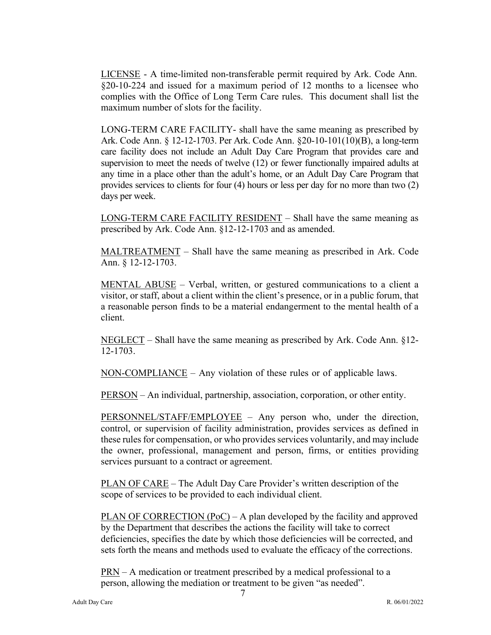LICENSE - A time-limited non-transferable permit required by Ark. Code Ann. §20-10-224 and issued for a maximum period of 12 months to a licensee who complies with the Office of Long Term Care rules. This document shall list the maximum number of slots for the facility.

LONG-TERM CARE FACILITY- shall have the same meaning as prescribed by Ark. Code Ann. § 12-12-1703. Per Ark. Code Ann. §20-10-101(10)(B), a long-term care facility does not include an Adult Day Care Program that provides care and supervision to meet the needs of twelve (12) or fewer functionally impaired adults at any time in a place other than the adult's home, or an Adult Day Care Program that provides services to clients for four (4) hours or less per day for no more than two (2) days per week.

LONG-TERM CARE FACILITY RESIDENT – Shall have the same meaning as prescribed by Ark. Code Ann. §12-12-1703 and as amended.

MALTREATMENT – Shall have the same meaning as prescribed in Ark. Code Ann. § 12-12-1703.

MENTAL ABUSE – Verbal, written, or gestured communications to a client a visitor, or staff, about a client within the client's presence, or in a public forum, that a reasonable person finds to be a material endangerment to the mental health of a client.

NEGLECT – Shall have the same meaning as prescribed by Ark. Code Ann. §12- 12-1703.

NON-COMPLIANCE – Any violation of these rules or of applicable laws..

PERSON – An individual, partnership, association, corporation, or other entity.

PERSONNEL/STAFF/EMPLOYEE – Any person who, under the direction, control, or supervision of facility administration, provides services as defined in these rules for compensation, or who provides services voluntarily, and may include the owner, professional, management and person, firms, or entities providing services pursuant to a contract or agreement.

PLAN OF CARE – The Adult Day Care Provider's written description of the scope of services to be provided to each individual client.

PLAN OF CORRECTION (PoC) – A plan developed by the facility and approved by the Department that describes the actions the facility will take to correct deficiencies, specifies the date by which those deficiencies will be corrected, and sets forth the means and methods used to evaluate the efficacy of the corrections.

PRN – A medication or treatment prescribed by a medical professional to a person, allowing the mediation or treatment to be given "as needed".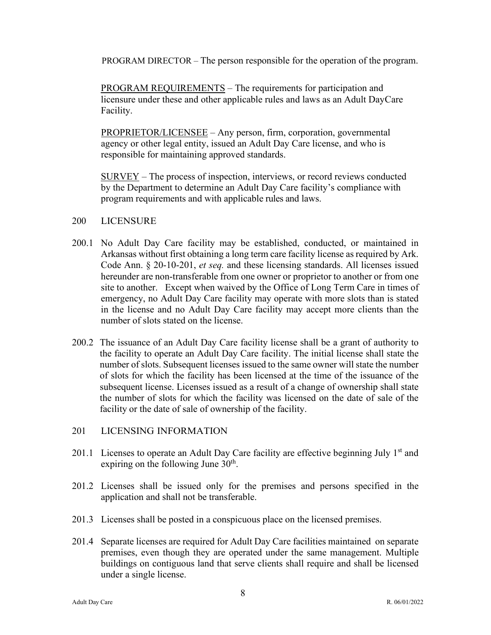PROGRAM DIRECTOR – The person responsible for the operation of the program.

PROGRAM REQUIREMENTS – The requirements for participation and licensure under these and other applicable rules and laws as an Adult DayCare Facility.

PROPRIETOR/LICENSEE – Any person, firm, corporation, governmental agency or other legal entity, issued an Adult Day Care license, and who is responsible for maintaining approved standards.

SURVEY – The process of inspection, interviews, or record reviews conducted by the Department to determine an Adult Day Care facility's compliance with program requirements and with applicable rules and laws.

#### 200 LICENSURE

- 200.1 No Adult Day Care facility may be established, conducted, or maintained in Arkansas without first obtaining a long term care facility license as required by Ark. Code Ann. § 20-10-201, *et seq.* and these licensing standards. All licenses issued hereunder are non-transferable from one owner or proprietor to another or from one site to another. Except when waived by the Office of Long Term Care in times of emergency, no Adult Day Care facility may operate with more slots than is stated in the license and no Adult Day Care facility may accept more clients than the number of slots stated on the license.
- 200.2 The issuance of an Adult Day Care facility license shall be a grant of authority to the facility to operate an Adult Day Care facility. The initial license shall state the number of slots. Subsequent licenses issued to the same owner will state the number of slots for which the facility has been licensed at the time of the issuance of the subsequent license. Licenses issued as a result of a change of ownership shall state the number of slots for which the facility was licensed on the date of sale of the facility or the date of sale of ownership of the facility.
- 201 LICENSING INFORMATION
- 201.1 Licenses to operate an Adult Day Care facility are effective beginning July  $1<sup>st</sup>$  and expiring on the following June  $30<sup>th</sup>$ .
- 201.2 Licenses shall be issued only for the premises and persons specified in the application and shall not be transferable.
- 201.3 Licenses shall be posted in a conspicuous place on the licensed premises.
- 201.4 Separate licenses are required for Adult Day Care facilities maintained on separate premises, even though they are operated under the same management. Multiple buildings on contiguous land that serve clients shall require and shall be licensed under a single license.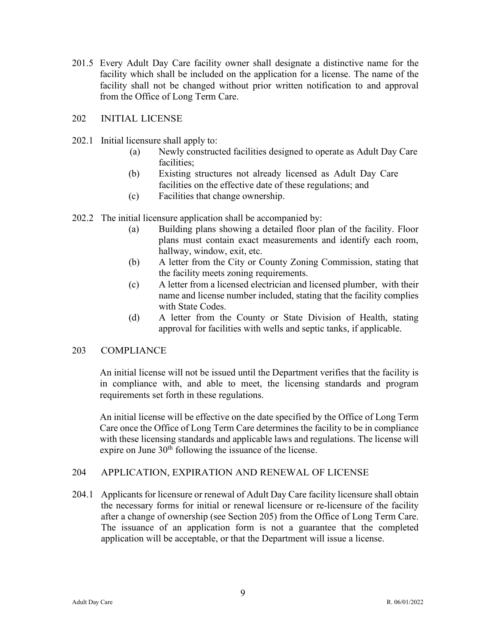201.5 Every Adult Day Care facility owner shall designate a distinctive name for the facility which shall be included on the application for a license. The name of the facility shall not be changed without prior written notification to and approval from the Office of Long Term Care.

# 202 INITIAL LICENSE

- 202.1 Initial licensure shall apply to:
	- (a) Newly constructed facilities designed to operate as Adult Day Care facilities;
	- (b) Existing structures not already licensed as Adult Day Care facilities on the effective date of these regulations; and
	- (c) Facilities that change ownership.
- 202.2 The initial licensure application shall be accompanied by:
	- (a) Building plans showing a detailed floor plan of the facility. Floor plans must contain exact measurements and identify each room, hallway, window, exit, etc.
	- (b) A letter from the City or County Zoning Commission, stating that the facility meets zoning requirements.
	- (c) A letter from a licensed electrician and licensed plumber, with their name and license number included, stating that the facility complies with State Codes.
	- (d) A letter from the County or State Division of Health, stating approval for facilities with wells and septic tanks, if applicable.

# 203 COMPLIANCE

An initial license will not be issued until the Department verifies that the facility is in compliance with, and able to meet, the licensing standards and program requirements set forth in these regulations.

An initial license will be effective on the date specified by the Office of Long Term Care once the Office of Long Term Care determines the facility to be in compliance with these licensing standards and applicable laws and regulations. The license will expire on June  $30<sup>th</sup>$  following the issuance of the license.

# 204 APPLICATION, EXPIRATION AND RENEWAL OF LICENSE

204.1 Applicants for licensure or renewal of Adult Day Care facility licensure shall obtain the necessary forms for initial or renewal licensure or re-licensure of the facility after a change of ownership (see Section 205) from the Office of Long Term Care. The issuance of an application form is not a guarantee that the completed application will be acceptable, or that the Department will issue a license.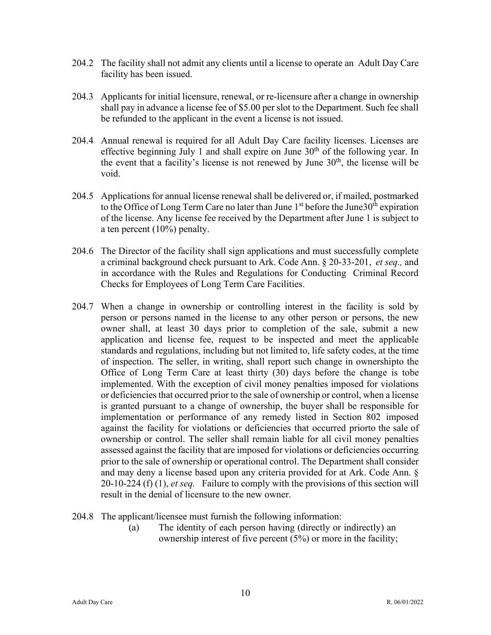- 204.2 The facility shall not admit any clients until a license to operate an Adult Day Care facility has been issued.
- 204.3 Applicants for initial licensure, renewal, or re-licensure after a change in ownership shall pay in advance a license fee of \$5.00 per slot to the Department. Such fee shall be refunded to the applicant in the event a license is not issued.
- 204.4 Annual renewal is required for all Adult Day Care facility licenses. Licenses are effective beginning July 1 and shall expire on June  $30<sup>th</sup>$  of the following year. In the event that a facility's license is not renewed by June  $30<sup>th</sup>$ , the license will be void.
- 204.5 Applications for annual license renewal shall be delivered or, if mailed, postmarked to the Office of Long Term Care no later than June  $1<sup>st</sup>$  before the June  $30<sup>th</sup>$  expiration of the license. Any license fee received by the Department after June 1 is subject to a ten percent (10%) penalty.
- 204.6 The Director of the facility shall sign applications and must successfully complete a criminal background check pursuant to Ark. Code Ann. § 20-33-201, *et seq.,* and in accordance with the Rules and Regulations for Conducting Criminal Record Checks for Employees of Long Term Care Facilities.
- 204.7 When a change in ownership or controlling interest in the facility is sold by person or persons named in the license to any other person or persons, the new owner shall, at least 30 days prior to completion of the sale, submit a new application and license fee, request to be inspected and meet the applicable standards and regulations, including but not limited to, life safety codes, at the time of inspection. The seller, in writing, shall report such change in ownershipto the Office of Long Term Care at least thirty (30) days before the change is tobe implemented. With the exception of civil money penalties imposed for violations or deficiencies that occurred prior to the sale of ownership or control, when a license is granted pursuant to a change of ownership, the buyer shall be responsible for implementation or performance of any remedy listed in Section 802 imposed against the facility for violations or deficiencies that occurred priorto the sale of ownership or control. The seller shall remain liable for all civil money penalties assessed against the facility that are imposed for violations or deficiencies occurring prior to the sale of ownership or operational control. The Department shall consider and may deny a license based upon any criteria provided for at Ark. Code Ann. § 20-10-224 (f) (1), *et seq.* Failure to comply with the provisions of this section will result in the denial of licensure to the new owner.
- 204.8 The applicant/licensee must furnish the following information:
	- (a) The identity of each person having (directly or indirectly) an ownership interest of five percent (5%) or more in the facility;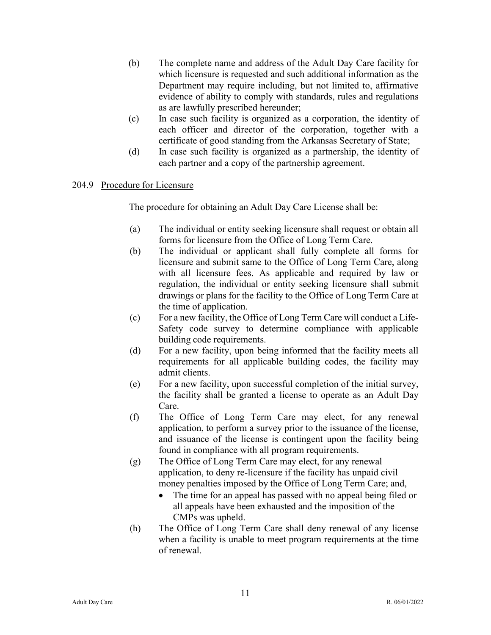- (b) The complete name and address of the Adult Day Care facility for which licensure is requested and such additional information as the Department may require including, but not limited to, affirmative evidence of ability to comply with standards, rules and regulations as are lawfully prescribed hereunder;
- (c) In case such facility is organized as a corporation, the identity of each officer and director of the corporation, together with a certificate of good standing from the Arkansas Secretary of State;
- (d) In case such facility is organized as a partnership, the identity of each partner and a copy of the partnership agreement.

# 204.9 Procedure for Licensure

The procedure for obtaining an Adult Day Care License shall be:

- (a) The individual or entity seeking licensure shall request or obtain all forms for licensure from the Office of Long Term Care.
- (b) The individual or applicant shall fully complete all forms for licensure and submit same to the Office of Long Term Care, along with all licensure fees. As applicable and required by law or regulation, the individual or entity seeking licensure shall submit drawings or plans for the facility to the Office of Long Term Care at the time of application.
- (c) For a new facility, the Office of Long Term Care will conduct a Life-Safety code survey to determine compliance with applicable building code requirements.
- (d) For a new facility, upon being informed that the facility meets all requirements for all applicable building codes, the facility may admit clients.
- (e) For a new facility, upon successful completion of the initial survey, the facility shall be granted a license to operate as an Adult Day Care.
- (f) The Office of Long Term Care may elect, for any renewal application, to perform a survey prior to the issuance of the license, and issuance of the license is contingent upon the facility being found in compliance with all program requirements.
- (g) The Office of Long Term Care may elect, for any renewal application, to deny re-licensure if the facility has unpaid civil money penalties imposed by the Office of Long Term Care; and,
	- The time for an appeal has passed with no appeal being filed or all appeals have been exhausted and the imposition of the CMPs was upheld.
- (h) The Office of Long Term Care shall deny renewal of any license when a facility is unable to meet program requirements at the time of renewal.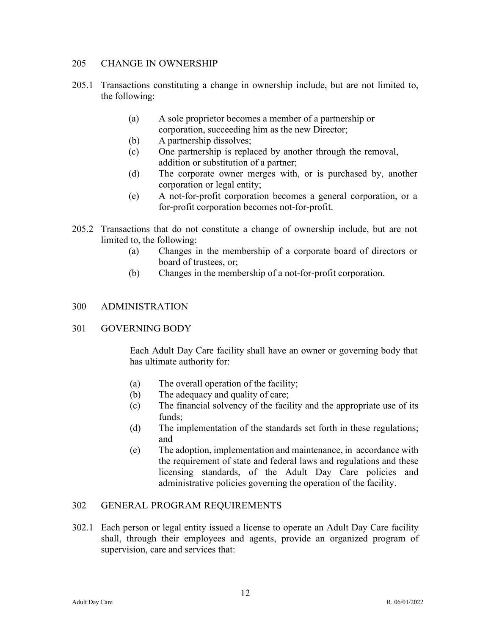### 205 CHANGE IN OWNERSHIP

- 205.1 Transactions constituting a change in ownership include, but are not limited to, the following:
	- (a) A sole proprietor becomes a member of a partnership or corporation, succeeding him as the new Director;
	- (b) A partnership dissolves;
	- (c) One partnership is replaced by another through the removal, addition or substitution of a partner;
	- (d) The corporate owner merges with, or is purchased by, another corporation or legal entity;
	- (e) A not-for-profit corporation becomes a general corporation, or a for-profit corporation becomes not-for-profit.
- 205.2 Transactions that do not constitute a change of ownership include, but are not limited to, the following:
	- (a) Changes in the membership of a corporate board of directors or board of trustees, or;
	- (b) Changes in the membership of a not-for-profit corporation.

# 300 ADMINISTRATION

# 301 GOVERNING BODY

Each Adult Day Care facility shall have an owner or governing body that has ultimate authority for:

- (a) The overall operation of the facility;
- (b) The adequacy and quality of care;
- (c) The financial solvency of the facility and the appropriate use of its funds;
- (d) The implementation of the standards set forth in these regulations; and
- (e) The adoption, implementation and maintenance, in accordance with the requirement of state and federal laws and regulations and these licensing standards, of the Adult Day Care policies and administrative policies governing the operation of the facility.

# 302 GENERAL PROGRAM REQUIREMENTS

302.1 Each person or legal entity issued a license to operate an Adult Day Care facility shall, through their employees and agents, provide an organized program of supervision, care and services that: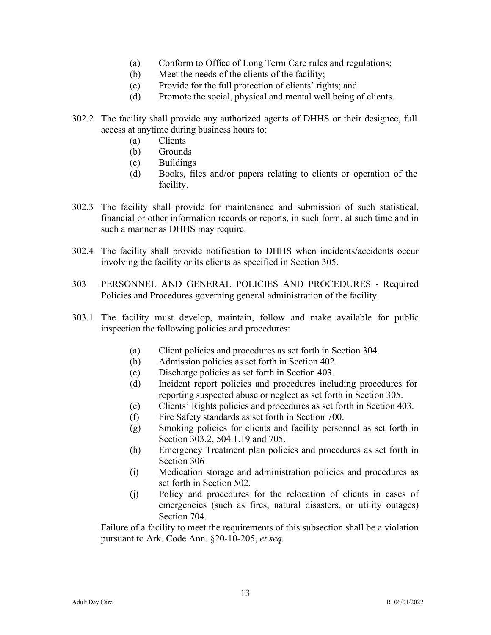- (a) Conform to Office of Long Term Care rules and regulations;
- (b) Meet the needs of the clients of the facility;
- (c) Provide for the full protection of clients' rights; and
- (d) Promote the social, physical and mental well being of clients.
- 302.2 The facility shall provide any authorized agents of DHHS or their designee, full access at anytime during business hours to:
	- (a) Clients
	- (b) Grounds
	- (c) Buildings
	- (d) Books, files and/or papers relating to clients or operation of the facility.
- 302.3 The facility shall provide for maintenance and submission of such statistical, financial or other information records or reports, in such form, at such time and in such a manner as DHHS may require.
- 302.4 The facility shall provide notification to DHHS when incidents/accidents occur involving the facility or its clients as specified in Section 305.
- 303 PERSONNEL AND GENERAL POLICIES AND PROCEDURES Required Policies and Procedures governing general administration of the facility.
- 303.1 The facility must develop, maintain, follow and make available for public inspection the following policies and procedures:
	- (a) Client policies and procedures as set forth in Section 304.
	- (b) Admission policies as set forth in Section 402.
	- (c) Discharge policies as set forth in Section 403.
	- (d) Incident report policies and procedures including procedures for reporting suspected abuse or neglect as set forth in Section 305.
	- (e) Clients' Rights policies and procedures as set forth in Section 403.
	- (f) Fire Safety standards as set forth in Section 700.
	- (g) Smoking policies for clients and facility personnel as set forth in Section 303.2, 504.1.19 and 705.
	- (h) Emergency Treatment plan policies and procedures as set forth in Section 306
	- (i) Medication storage and administration policies and procedures as set forth in Section 502.
	- (j) Policy and procedures for the relocation of clients in cases of emergencies (such as fires, natural disasters, or utility outages) Section 704.

Failure of a facility to meet the requirements of this subsection shall be a violation pursuant to Ark. Code Ann. §20-10-205, *et seq.*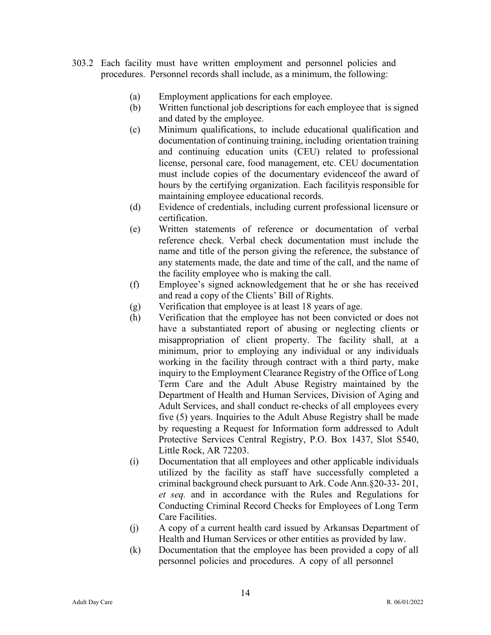- 303.2 Each facility must have written employment and personnel policies and procedures. Personnel records shall include, as a minimum, the following:
	- (a) Employment applications for each employee.
	- (b) Written functional job descriptions for each employee that is signed and dated by the employee.
	- (c) Minimum qualifications, to include educational qualification and documentation of continuing training, including orientation training and continuing education units (CEU) related to professional license, personal care, food management, etc. CEU documentation must include copies of the documentary evidenceof the award of hours by the certifying organization. Each facilityis responsible for maintaining employee educational records.
	- (d) Evidence of credentials, including current professional licensure or certification.
	- (e) Written statements of reference or documentation of verbal reference check. Verbal check documentation must include the name and title of the person giving the reference, the substance of any statements made, the date and time of the call, and the name of the facility employee who is making the call.
	- (f) Employee's signed acknowledgement that he or she has received and read a copy of the Clients' Bill of Rights.
	- (g) Verification that employee is at least 18 years of age.
	- (h) Verification that the employee has not been convicted or does not have a substantiated report of abusing or neglecting clients or misappropriation of client property. The facility shall, at a minimum, prior to employing any individual or any individuals working in the facility through contract with a third party, make inquiry to the Employment Clearance Registry of the Office of Long Term Care and the Adult Abuse Registry maintained by the Department of Health and Human Services, Division of Aging and Adult Services, and shall conduct re-checks of all employees every five (5) years. Inquiries to the Adult Abuse Registry shall be made by requesting a Request for Information form addressed to Adult Protective Services Central Registry, P.O. Box 1437, Slot S540, Little Rock, AR 72203.
	- (i) Documentation that all employees and other applicable individuals utilized by the facility as staff have successfully completed a criminal background check pursuant to Ark. Code Ann.§20-33- 201, *et seq.* and in accordance with the Rules and Regulations for Conducting Criminal Record Checks for Employees of Long Term Care Facilities.
	- (j) A copy of a current health card issued by Arkansas Department of Health and Human Services or other entities as provided by law.
	- (k) Documentation that the employee has been provided a copy of all personnel policies and procedures. A copy of all personnel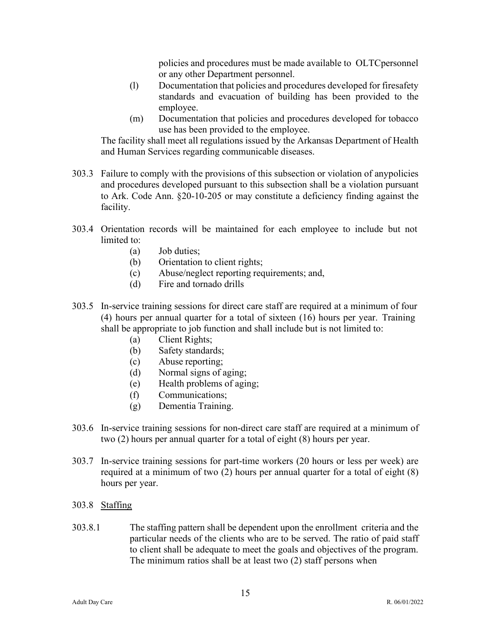policies and procedures must be made available to OLTC personnel or any other Department personnel.

- (l) Documentation that policies and procedures developed for firesafety standards and evacuation of building has been provided to the employee.
- (m) Documentation that policies and procedures developed for tobacco use has been provided to the employee.

The facility shall meet all regulations issued by the Arkansas Department of Health and Human Services regarding communicable diseases.

- 303.3 Failure to comply with the provisions of this subsection or violation of anypolicies and procedures developed pursuant to this subsection shall be a violation pursuant to Ark. Code Ann. §20-10-205 or may constitute a deficiency finding against the facility.
- 303.4 Orientation records will be maintained for each employee to include but not limited to:
	- (a) Job duties;
	- (b) Orientation to client rights;
	- (c) Abuse/neglect reporting requirements; and,
	- (d) Fire and tornado drills
- 303.5 In-service training sessions for direct care staff are required at a minimum of four (4) hours per annual quarter for a total of sixteen (16) hours per year. Training shall be appropriate to job function and shall include but is not limited to:
	- (a) Client Rights;
	- (b) Safety standards;
	- (c) Abuse reporting;
	- (d) Normal signs of aging;
	- (e) Health problems of aging;
	- (f) Communications;
	- (g) Dementia Training.
- 303.6 In-service training sessions for non-direct care staff are required at a minimum of two (2) hours per annual quarter for a total of eight (8) hours per year.
- 303.7 In-service training sessions for part-time workers (20 hours or less per week) are required at a minimum of two (2) hours per annual quarter for a total of eight (8) hours per year.
- 303.8 Staffing
- 303.8.1 The staffing pattern shall be dependent upon the enrollment criteria and the particular needs of the clients who are to be served. The ratio of paid staff to client shall be adequate to meet the goals and objectives of the program. The minimum ratios shall be at least two (2) staff persons when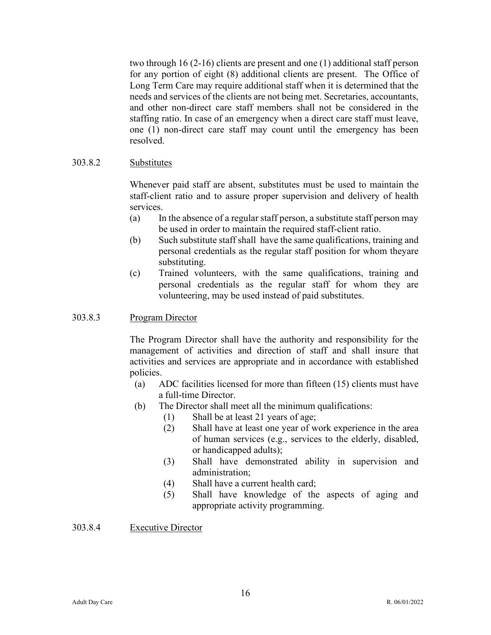two through 16 (2-16) clients are present and one (1) additional staff person for any portion of eight (8) additional clients are present. The Office of Long Term Care may require additional staff when it is determined that the needs and services of the clients are not being met. Secretaries, accountants, and other non-direct care staff members shall not be considered in the staffing ratio. In case of an emergency when a direct care staff must leave, one (1) non-direct care staff may count until the emergency has been resolved.

# 303.8.2 Substitutes

Whenever paid staff are absent, substitutes must be used to maintain the staff-client ratio and to assure proper supervision and delivery of health services.

- (a) In the absence of a regular staff person, a substitute staff person may be used in order to maintain the required staff-client ratio.
- (b) Such substitute staff shall have the same qualifications, training and personal credentials as the regular staff position for whom theyare substituting.
- (c) Trained volunteers, with the same qualifications, training and personal credentials as the regular staff for whom they are volunteering, may be used instead of paid substitutes.

# 303.8.3 Program Director

The Program Director shall have the authority and responsibility for the management of activities and direction of staff and shall insure that activities and services are appropriate and in accordance with established policies.

- (a) ADC facilities licensed for more than fifteen (15) clients must have a full-time Director.
- (b) The Director shall meet all the minimum qualifications:
	- (1) Shall be at least 21 years of age;
	- (2) Shall have at least one year of work experience in the area of human services (e.g., services to the elderly, disabled, or handicapped adults);
	- (3) Shall have demonstrated ability in supervision and administration;
	- (4) Shall have a current health card;
	- (5) Shall have knowledge of the aspects of aging and appropriate activity programming.

# 303.8.4 Executive Director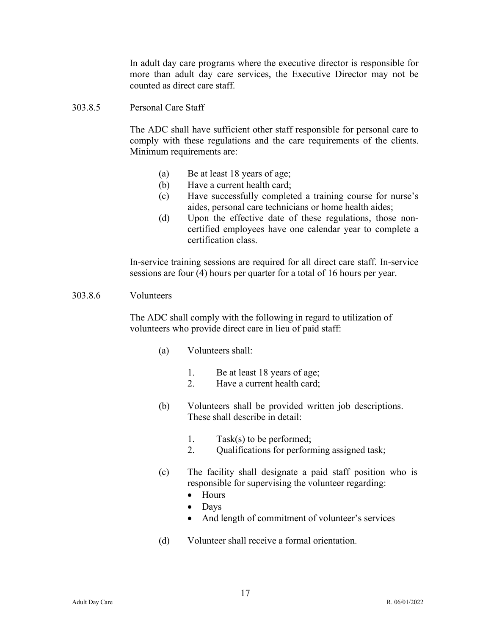In adult day care programs where the executive director is responsible for more than adult day care services, the Executive Director may not be counted as direct care staff.

### 303.8.5 Personal Care Staff

The ADC shall have sufficient other staff responsible for personal care to comply with these regulations and the care requirements of the clients. Minimum requirements are:

- (a) Be at least 18 years of age;
- (b) Have a current health card;
- (c) Have successfully completed a training course for nurse's aides, personal care technicians or home health aides;
- (d) Upon the effective date of these regulations, those noncertified employees have one calendar year to complete a certification class.

In-service training sessions are required for all direct care staff. In-service sessions are four (4) hours per quarter for a total of 16 hours per year.

#### 303.8.6 Volunteers

The ADC shall comply with the following in regard to utilization of volunteers who provide direct care in lieu of paid staff:

- (a) Volunteers shall:
	- 1. Be at least 18 years of age;
	- 2. Have a current health card;
- (b) Volunteers shall be provided written job descriptions. These shall describe in detail:
	- 1. Task(s) to be performed;
	- 2. Qualifications for performing assigned task;
- (c) The facility shall designate a paid staff position who is responsible for supervising the volunteer regarding:
	- Hours
	- Days
	- And length of commitment of volunteer's services
- (d) Volunteer shall receive a formal orientation.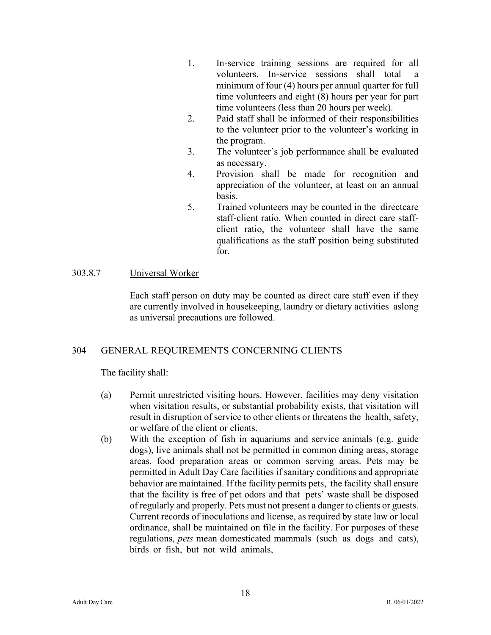- 1. In-service training sessions are required for all volunteers. In-service sessions shall total minimum of four (4) hours per annual quarter for full time volunteers and eight (8) hours per year for part time volunteers (less than 20 hours per week).
- 2. Paid staff shall be informed of their responsibilities to the volunteer prior to the volunteer's working in the program.
- 3. The volunteer's job performance shall be evaluated as necessary.
- 4. Provision shall be made for recognition and appreciation of the volunteer, at least on an annual basis.
- 5. Trained volunteers may be counted in the directcare staff-client ratio. When counted in direct care staffclient ratio, the volunteer shall have the same qualifications as the staff position being substituted for.

# 303.8.7 Universal Worker

Each staff person on duty may be counted as direct care staff even if they are currently involved in housekeeping, laundry or dietary activities as long as universal precautions are followed.

# 304 GENERAL REQUIREMENTS CONCERNING CLIENTS

The facility shall:

- (a) Permit unrestricted visiting hours. However, facilities may deny visitation when visitation results, or substantial probability exists, that visitation will result in disruption of service to other clients or threatens the health, safety, or welfare of the client or clients.
- (b) With the exception of fish in aquariums and service animals (e.g. guide dogs), live animals shall not be permitted in common dining areas, storage areas, food preparation areas or common serving areas. Pets may be permitted in Adult Day Care facilities if sanitary conditions and appropriate behavior are maintained. If the facility permits pets, the facility shall ensure that the facility is free of pet odors and that pets' waste shall be disposed of regularly and properly. Pets must not present a danger to clients or guests. Current records of inoculations and license, as required by state law or local ordinance, shall be maintained on file in the facility. For purposes of these regulations, *pets* mean domesticated mammals (such as dogs and cats), birds or fish, but not wild animals,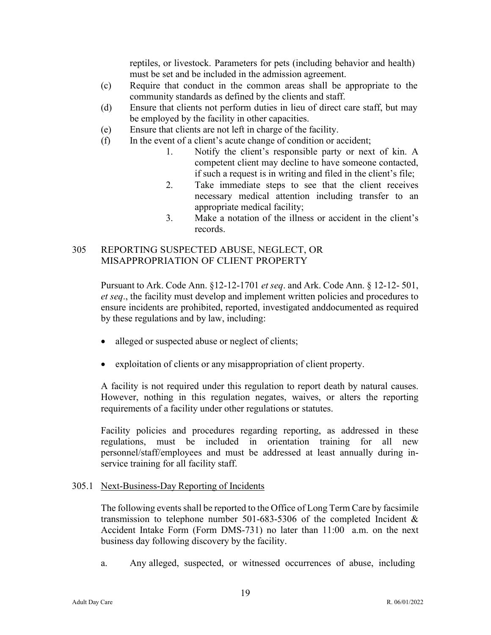reptiles, or livestock. Parameters for pets (including behavior and health) must be set and be included in the admission agreement.

- (c) Require that conduct in the common areas shall be appropriate to the community standards as defined by the clients and staff.
- (d) Ensure that clients not perform duties in lieu of direct care staff, but may be employed by the facility in other capacities.
- (e) Ensure that clients are not left in charge of the facility.
- (f) In the event of a client's acute change of condition or accident;
	- 1. Notify the client's responsible party or next of kin. A competent client may decline to have someone contacted, if such a request is in writing and filed in the client's file;
	- 2. Take immediate steps to see that the client receives necessary medical attention including transfer to an appropriate medical facility;
	- 3. Make a notation of the illness or accident in the client's records.

# 305 REPORTING SUSPECTED ABUSE, NEGLECT, OR MISAPPROPRIATION OF CLIENT PROPERTY

Pursuant to Ark. Code Ann. §12-12-1701 *et seq*. and Ark. Code Ann. § 12-12- 501, *et seq*., the facility must develop and implement written policies and procedures to ensure incidents are prohibited, reported, investigated anddocumented as required by these regulations and by law, including:

- alleged or suspected abuse or neglect of clients;
- exploitation of clients or any misappropriation of client property.

A facility is not required under this regulation to report death by natural causes. However, nothing in this regulation negates, waives, or alters the reporting requirements of a facility under other regulations or statutes.

Facility policies and procedures regarding reporting, as addressed in these regulations, must be included in orientation training for all new personnel/staff/employees and must be addressed at least annually during inservice training for all facility staff.

# 305.1 Next-Business-Day Reporting of Incidents

The following events shall be reported to the Office of Long Term Care by facsimile transmission to telephone number 501-683-5306 of the completed Incident & Accident Intake Form (Form DMS-731) no later than 11:00 a.m. on the next business day following discovery by the facility.

a. Any alleged, suspected, or witnessed occurrences of abuse, including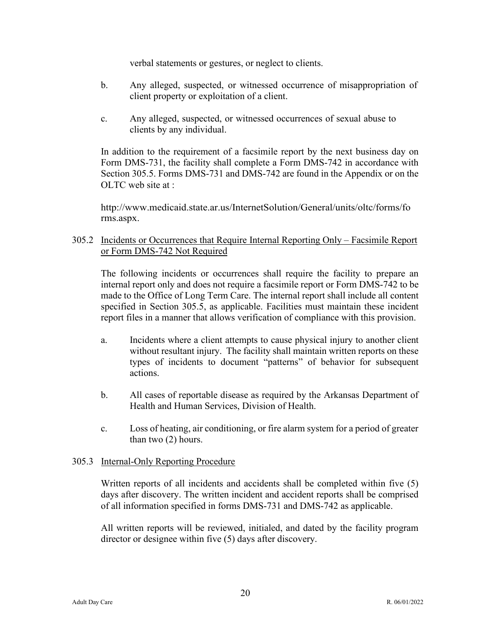verbal statements or gestures, or neglect to clients.

- b. Any alleged, suspected, or witnessed occurrence of misappropriation of client property or exploitation of a client.
- c. Any alleged, suspected, or witnessed occurrences of sexual abuse to clients by any individual.

In addition to the requirement of a facsimile report by the next business day on Form DMS-731, the facility shall complete a Form DMS-742 in accordance with Section 305.5. Forms DMS-731 and DMS-742 are found in the Appendix or on the OLTC web site at :

<http://www.medicaid.state.ar.us/InternetSolution/General/units/oltc/forms/fo> rms.aspx.

305.2 Incidents or Occurrences that Require Internal Reporting Only – Facsimile Report or Form DMS-742 Not Required

The following incidents or occurrences shall require the facility to prepare an internal report only and does not require a facsimile report or Form DMS-742 to be made to the Office of Long Term Care. The internal report shall include all content specified in Section 305.5, as applicable. Facilities must maintain these incident report files in a manner that allows verification of compliance with this provision.

- a. Incidents where a client attempts to cause physical injury to another client without resultant injury. The facility shall maintain written reports on these types of incidents to document "patterns" of behavior for subsequent actions.
- b. All cases of reportable disease as required by the Arkansas Department of Health and Human Services, Division of Health.
- c. Loss of heating, air conditioning, or fire alarm system for a period of greater than two (2) hours.

# 305.3 Internal-Only Reporting Procedure

Written reports of all incidents and accidents shall be completed within five (5) days after discovery. The written incident and accident reports shall be comprised of all information specified in forms DMS-731 and DMS-742 as applicable.

All written reports will be reviewed, initialed, and dated by the facility program director or designee within five (5) days after discovery.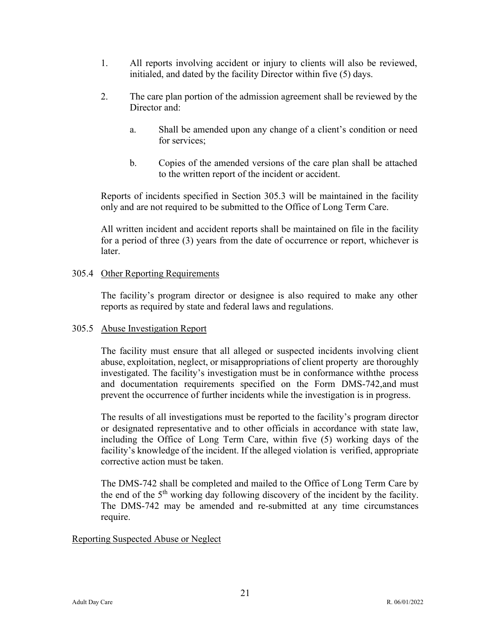- 1. All reports involving accident or injury to clients will also be reviewed, initialed, and dated by the facility Director within five (5) days.
- 2. The care plan portion of the admission agreement shall be reviewed by the Director and:
	- a. Shall be amended upon any change of a client's condition or need for services;
	- b. Copies of the amended versions of the care plan shall be attached to the written report of the incident or accident.

Reports of incidents specified in Section 305.3 will be maintained in the facility only and are not required to be submitted to the Office of Long Term Care.

All written incident and accident reports shall be maintained on file in the facility for a period of three (3) years from the date of occurrence or report, whichever is later.

# 305.4 Other Reporting Requirements

The facility's program director or designee is also required to make any other reports as required by state and federal laws and regulations.

# 305.5 Abuse Investigation Report

The facility must ensure that all alleged or suspected incidents involving client abuse, exploitation, neglect, or misappropriations of client property are thoroughly investigated. The facility's investigation must be in conformance with the process and documentation requirements specified on the Form DMS-742, and must prevent the occurrence of further incidents while the investigation is in progress.

The results of all investigations must be reported to the facility's program director or designated representative and to other officials in accordance with state law, including the Office of Long Term Care, within five (5) working days of the facility's knowledge of the incident. If the alleged violation is verified, appropriate corrective action must be taken.

The DMS-742 shall be completed and mailed to the Office of Long Term Care by the end of the  $5<sup>th</sup>$  working day following discovery of the incident by the facility. The DMS-742 may be amended and re-submitted at any time circumstances require.

# Reporting Suspected Abuse or Neglect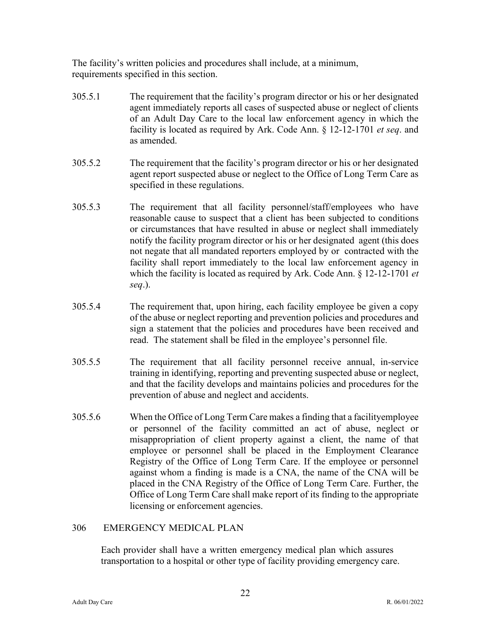The facility's written policies and procedures shall include, at a minimum, requirements specified in this section.

- 305.5.1 The requirement that the facility's program director or his or her designated agent immediately reports all cases of suspected abuse or neglect of clients of an Adult Day Care to the local law enforcement agency in which the facility is located as required by Ark. Code Ann. § 12-12-1701 *et seq*. and as amended.
- 305.5.2 The requirement that the facility's program director or his or her designated agent report suspected abuse or neglect to the Office of Long Term Care as specified in these regulations.
- 305.5.3 The requirement that all facility personnel/staff/employees who have reasonable cause to suspect that a client has been subjected to conditions or circumstances that have resulted in abuse or neglect shall immediately notify the facility program director or his or her designated agent (this does not negate that all mandated reporters employed by or contracted with the facility shall report immediately to the local law enforcement agency in which the facility is located as required by Ark. Code Ann. § 12-12-1701 *et seq*.).
- 305.5.4 The requirement that, upon hiring, each facility employee be given a copy of the abuse or neglect reporting and prevention policies and procedures and sign a statement that the policies and procedures have been received and read. The statement shall be filed in the employee's personnel file.
- 305.5.5 The requirement that all facility personnel receive annual, in-service training in identifying, reporting and preventing suspected abuse or neglect, and that the facility develops and maintains policies and procedures for the prevention of abuse and neglect and accidents.
- 305.5.6 When the Office of Long Term Care makes a finding that a facilityemployee or personnel of the facility committed an act of abuse, neglect or misappropriation of client property against a client, the name of that employee or personnel shall be placed in the Employment Clearance Registry of the Office of Long Term Care. If the employee or personnel against whom a finding is made is a CNA, the name of the CNA will be placed in the CNA Registry of the Office of Long Term Care. Further, the Office of Long Term Care shall make report of its finding to the appropriate licensing or enforcement agencies.

# 306 EMERGENCY MEDICAL PLAN

Each provider shall have a written emergency medical plan which assures transportation to a hospital or other type of facility providing emergency care.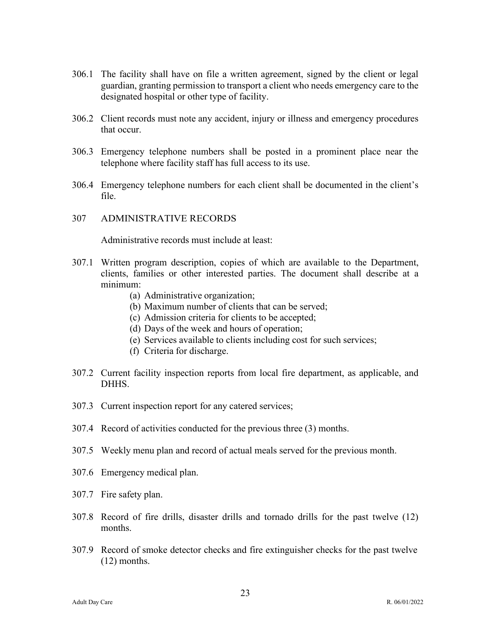- 306.1 The facility shall have on file a written agreement, signed by the client or legal guardian, granting permission to transport a client who needs emergency care to the designated hospital or other type of facility.
- 306.2 Client records must note any accident, injury or illness and emergency procedures that occur.
- 306.3 Emergency telephone numbers shall be posted in a prominent place near the telephone where facility staff has full access to its use.
- 306.4 Emergency telephone numbers for each client shall be documented in the client's file.

#### 307 ADMINISTRATIVE RECORDS

Administrative records must include at least:

- 307.1 Written program description, copies of which are available to the Department, clients, families or other interested parties. The document shall describe at a minimum:
	- (a) Administrative organization;
	- (b) Maximum number of clients that can be served;
	- (c) Admission criteria for clients to be accepted;
	- (d) Days of the week and hours of operation;
	- (e) Services available to clients including cost for such services;
	- (f) Criteria for discharge.
- 307.2 Current facility inspection reports from local fire department, as applicable, and DHHS.
- 307.3 Current inspection report for any catered services;
- 307.4 Record of activities conducted for the previous three (3) months.
- 307.5 Weekly menu plan and record of actual meals served for the previous month.
- 307.6 Emergency medical plan.
- 307.7 Fire safety plan.
- 307.8 Record of fire drills, disaster drills and tornado drills for the past twelve (12) months.
- 307.9 Record of smoke detector checks and fire extinguisher checks for the past twelve (12) months.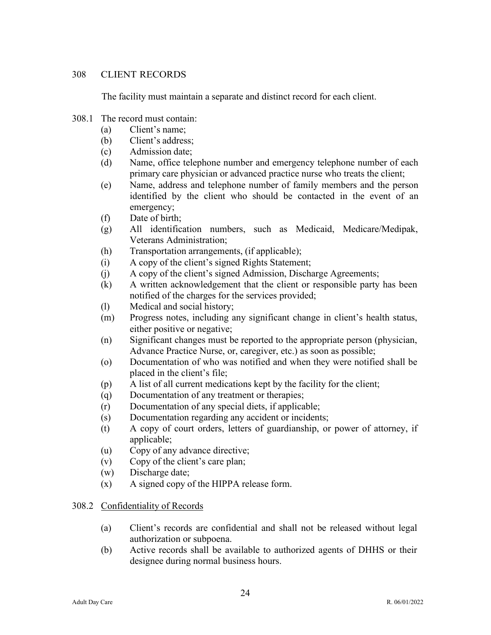# 308 CLIENT RECORDS

The facility must maintain a separate and distinct record for each client.

# 308.1 The record must contain:

- (a) Client's name;
- (b) Client's address;
- (c) Admission date;
- (d) Name, office telephone number and emergency telephone number of each primary care physician or advanced practice nurse who treats the client;
- (e) Name, address and telephone number of family members and the person identified by the client who should be contacted in the event of an emergency;
- (f) Date of birth;
- (g) All identification numbers, such as Medicaid, Medicare/Medipak, Veterans Administration;
- (h) Transportation arrangements, (if applicable);
- (i) A copy of the client's signed Rights Statement;
- (j) A copy of the client's signed Admission, Discharge Agreements;
- (k) A written acknowledgement that the client or responsible party has been notified of the charges for the services provided;
- (l) Medical and social history;
- (m) Progress notes, including any significant change in client's health status, either positive or negative;
- (n) Significant changes must be reported to the appropriate person (physician, Advance Practice Nurse, or, caregiver, etc.) as soon as possible;
- (o) Documentation of who was notified and when they were notified shall be placed in the client's file;
- (p) A list of all current medications kept by the facility for the client;
- (q) Documentation of any treatment or therapies;
- (r) Documentation of any special diets, if applicable;
- (s) Documentation regarding any accident or incidents;
- (t) A copy of court orders, letters of guardianship, or power of attorney, if applicable;
- (u) Copy of any advance directive;
- (v) Copy of the client's care plan;
- (w) Discharge date;
- (x) A signed copy of the HIPPA release form.

# 308.2 Confidentiality of Records

- (a) Client's records are confidential and shall not be released without legal authorization or subpoena.
- (b) Active records shall be available to authorized agents of DHHS or their designee during normal business hours.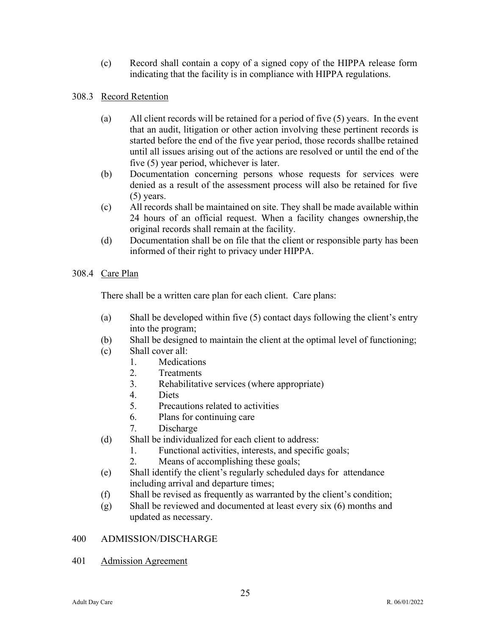(c) Record shall contain a copy of a signed copy of the HIPPA release form indicating that the facility is in compliance with HIPPA regulations.

# 308.3 Record Retention

- (a) All client records will be retained for a period of five (5) years. In the event that an audit, litigation or other action involving these pertinent records is started before the end of the five year period, those records shallbe retained until all issues arising out of the actions are resolved or until the end of the five (5) year period, whichever is later.
- (b) Documentation concerning persons whose requests for services were denied as a result of the assessment process will also be retained for five (5) years.
- (c) All records shall be maintained on site. They shall be made available within 24 hours of an official request. When a facility changes ownership, the original records shall remain at the facility.
- (d) Documentation shall be on file that the client or responsible party has been informed of their right to privacy under HIPPA.

# 308.4 Care Plan

There shall be a written care plan for each client. Care plans:

- (a) Shall be developed within five (5) contact days following the client's entry into the program;
- (b) Shall be designed to maintain the client at the optimal level of functioning;
- (c) Shall cover all:
	- 1. Medications
	- 2. Treatments
	- 3. Rehabilitative services (where appropriate)
	- 4. Diets
	- 5. Precautions related to activities
	- 6. Plans for continuing care
	- 7. Discharge
- (d) Shall be individualized for each client to address:
	- 1. Functional activities, interests, and specific goals;
	- 2. Means of accomplishing these goals;
- (e) Shall identify the client's regularly scheduled days for attendance including arrival and departure times;
- (f) Shall be revised as frequently as warranted by the client's condition;
- (g) Shall be reviewed and documented at least every six (6) months and updated as necessary.

# 400 ADMISSION/DISCHARGE

401 Admission Agreement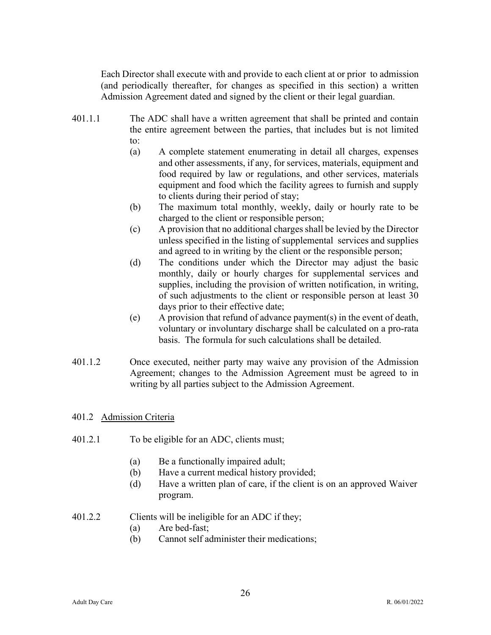Each Director shall execute with and provide to each client at or prior to admission (and periodically thereafter, for changes as specified in this section) a written Admission Agreement dated and signed by the client or their legal guardian.

- 401.1.1 The ADC shall have a written agreement that shall be printed and contain the entire agreement between the parties, that includes but is not limited to:
	- (a) A complete statement enumerating in detail all charges, expenses and other assessments, if any, for services, materials, equipment and food required by law or regulations, and other services, materials equipment and food which the facility agrees to furnish and supply to clients during their period of stay;
	- (b) The maximum total monthly, weekly, daily or hourly rate to be charged to the client or responsible person;
	- $(c)$  A provision that no additional charges shall be levied by the Director unless specified in the listing of supplemental services and supplies and agreed to in writing by the client or the responsible person;
	- (d) The conditions under which the Director may adjust the basic monthly, daily or hourly charges for supplemental services and supplies, including the provision of written notification, in writing, of such adjustments to the client or responsible person at least 30 days prior to their effective date;
	- (e) A provision that refund of advance payment(s) in the event of death, voluntary or involuntary discharge shall be calculated on a pro-rata basis. The formula for such calculations shall be detailed.
- 401.1.2 Once executed, neither party may waive any provision of the Admission Agreement; changes to the Admission Agreement must be agreed to in writing by all parties subject to the Admission Agreement.

# 401.2 Admission Criteria

- 401.2.1 To be eligible for an ADC, clients must;
	- (a) Be a functionally impaired adult;
	- (b) Have a current medical history provided;
	- (d) Have a written plan of care, if the client is on an approved Waiver program.
- 401.2.2 Clients will be ineligible for an ADC if they;
	- (a) Are bed-fast;
	- (b) Cannot self administer their medications;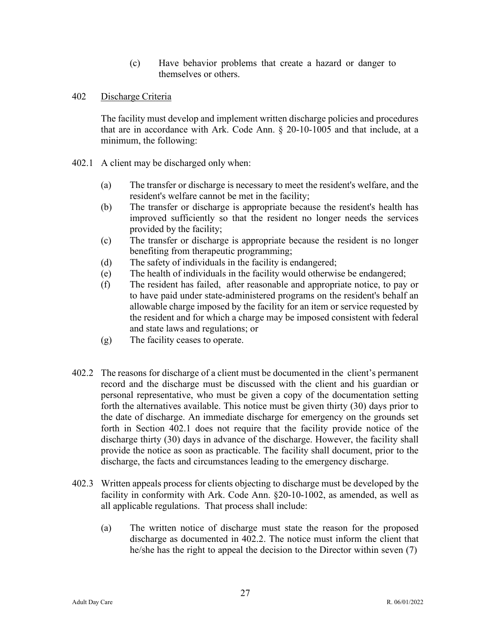- (c) Have behavior problems that create a hazard or danger to themselves or others.
- 402 Discharge Criteria

The facility must develop and implement written discharge policies and procedures that are in accordance with Ark. Code Ann. § 20-10-1005 and that include, at a minimum, the following:

- 402.1 A client may be discharged only when:
	- (a) The transfer or discharge is necessary to meet the resident's welfare, and the resident's welfare cannot be met in the facility;
	- (b) The transfer or discharge is appropriate because the resident's health has improved sufficiently so that the resident no longer needs the services provided by the facility;
	- (c) The transfer or discharge is appropriate because the resident is no longer benefiting from therapeutic programming;
	- (d) The safety of individuals in the facility is endangered;
	- (e) The health of individuals in the facility would otherwise be endangered;
	- (f) The resident has failed, after reasonable and appropriate notice, to pay or to have paid under state-administered programs on the resident's behalf an allowable charge imposed by the facility for an item or service requested by the resident and for which a charge may be imposed consistent with federal and state laws and regulations; or
	- (g) The facility ceases to operate.
- 402.2 The reasons for discharge of a client must be documented in the client's permanent record and the discharge must be discussed with the client and his guardian or personal representative, who must be given a copy of the documentation setting forth the alternatives available. This notice must be given thirty (30) days prior to the date of discharge. An immediate discharge for emergency on the grounds set forth in Section 402.1 does not require that the facility provide notice of the discharge thirty (30) days in advance of the discharge. However, the facility shall provide the notice as soon as practicable. The facility shall document, prior to the discharge, the facts and circumstances leading to the emergency discharge.
- 402.3 Written appeals process for clients objecting to discharge must be developed by the facility in conformity with Ark. Code Ann. §20-10-1002, as amended, as well as all applicable regulations. That process shall include:
	- (a) The written notice of discharge must state the reason for the proposed discharge as documented in 402.2. The notice must inform the client that he/she has the right to appeal the decision to the Director within seven (7)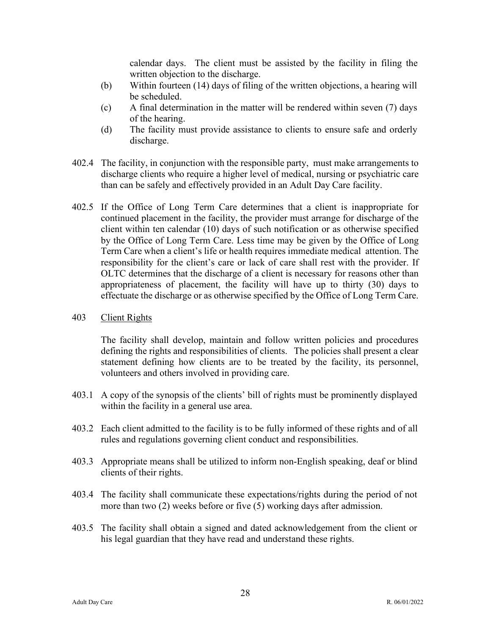calendar days. The client must be assisted by the facility in filing the written objection to the discharge.

- (b) Within fourteen (14) days of filing of the written objections, a hearing will be scheduled.
- (c) A final determination in the matter will be rendered within seven (7) days of the hearing.
- (d) The facility must provide assistance to clients to ensure safe and orderly discharge.
- 402.4 The facility, in conjunction with the responsible party, must make arrangements to discharge clients who require a higher level of medical, nursing or psychiatric care than can be safely and effectively provided in an Adult Day Care facility.
- 402.5 If the Office of Long Term Care determines that a client is inappropriate for continued placement in the facility, the provider must arrange for discharge of the client within ten calendar (10) days of such notification or as otherwise specified by the Office of Long Term Care. Less time may be given by the Office of Long Term Care when a client's life or health requires immediate medical attention. The responsibility for the client's care or lack of care shall rest with the provider. If OLTC determines that the discharge of a client is necessary for reasons other than appropriateness of placement, the facility will have up to thirty (30) days to effectuate the discharge or as otherwise specified by the Office of Long Term Care.

# 403 Client Rights

The facility shall develop, maintain and follow written policies and procedures defining the rights and responsibilities of clients. The policies shall present a clear statement defining how clients are to be treated by the facility, its personnel, volunteers and others involved in providing care.

- 403.1 A copy of the synopsis of the clients' bill of rights must be prominently displayed within the facility in a general use area.
- 403.2 Each client admitted to the facility is to be fully informed of these rights and of all rules and regulations governing client conduct and responsibilities.
- 403.3 Appropriate means shall be utilized to inform non-English speaking, deaf or blind clients of their rights.
- 403.4 The facility shall communicate these expectations/rights during the period of not more than two (2) weeks before or five (5) working days after admission.
- 403.5 The facility shall obtain a signed and dated acknowledgement from the client or his legal guardian that they have read and understand these rights.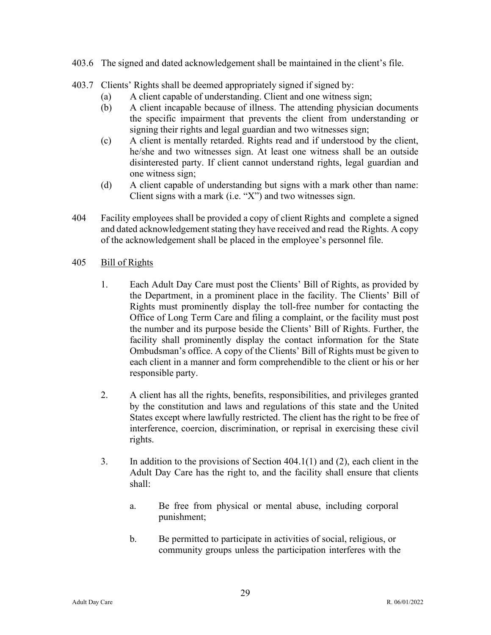- 403.6 The signed and dated acknowledgement shall be maintained in the client's file.
- 403.7 Clients' Rights shall be deemed appropriately signed if signed by:
	- (a) A client capable of understanding. Client and one witness sign;
	- (b) A client incapable because of illness. The attending physician documents the specific impairment that prevents the client from understanding or signing their rights and legal guardian and two witnesses sign;
	- (c) A client is mentally retarded. Rights read and if understood by the client, he/she and two witnesses sign. At least one witness shall be an outside disinterested party. If client cannot understand rights, legal guardian and one witness sign;
	- (d) A client capable of understanding but signs with a mark other than name: Client signs with a mark (i.e. "X") and two witnesses sign.
- 404 Facility employees shall be provided a copy of client Rights and complete a signed and dated acknowledgement stating they have received and read the Rights. A copy of the acknowledgement shall be placed in the employee's personnel file.
- 405 Bill of Rights
	- 1. Each Adult Day Care must post the Clients' Bill of Rights, as provided by the Department, in a prominent place in the facility. The Clients' Bill of Rights must prominently display the toll-free number for contacting the Office of Long Term Care and filing a complaint, or the facility must post the number and its purpose beside the Clients' Bill of Rights. Further, the facility shall prominently display the contact information for the State Ombudsman's office. A copy of the Clients' Bill of Rights must be given to each client in a manner and form comprehendible to the client or his or her responsible party.
	- 2. A client has all the rights, benefits, responsibilities, and privileges granted by the constitution and laws and regulations of this state and the United States except where lawfully restricted. The client has the right to be free of interference, coercion, discrimination, or reprisal in exercising these civil rights.
	- 3. In addition to the provisions of Section 404.1(1) and (2), each client in the Adult Day Care has the right to, and the facility shall ensure that clients shall:
		- a. Be free from physical or mental abuse, including corporal punishment;
		- b. Be permitted to participate in activities of social, religious, or community groups unless the participation interferes with the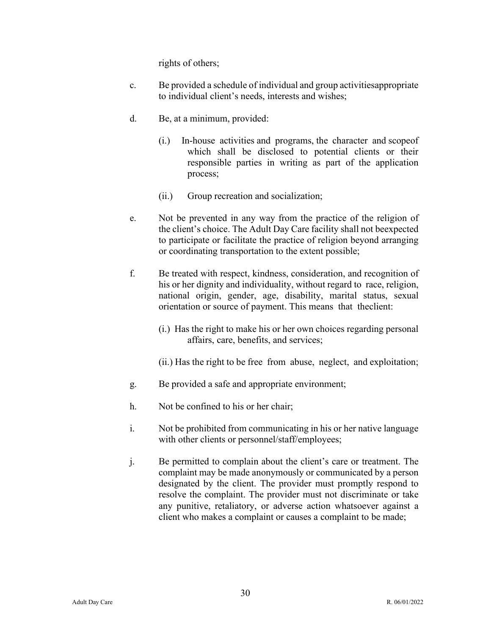rights of others;

- c. Be provided a schedule of individual and group activitiesappropriate to individual client's needs, interests and wishes;
- d. Be, at a minimum, provided:
	- (i.) In-house activities and programs, the character and scopeof which shall be disclosed to potential clients or their responsible parties in writing as part of the application process;
	- (ii.) Group recreation and socialization;
- e. Not be prevented in any way from the practice of the religion of the client's choice. The Adult Day Care facility shall not beexpected to participate or facilitate the practice of religion beyond arranging or coordinating transportation to the extent possible;
- f. Be treated with respect, kindness, consideration, and recognition of his or her dignity and individuality, without regard to race, religion, national origin, gender, age, disability, marital status, sexual orientation or source of payment. This means that theclient:
	- (i.) Has the right to make his or her own choices regarding personal affairs, care, benefits, and services;
	- (ii.) Has the right to be free from abuse, neglect, and exploitation;
- g. Be provided a safe and appropriate environment;
- h. Not be confined to his or her chair;
- i. Not be prohibited from communicating in his or her native language with other clients or personnel/staff/employees;
- j. Be permitted to complain about the client's care or treatment. The complaint may be made anonymously or communicated by a person designated by the client. The provider must promptly respond to resolve the complaint. The provider must not discriminate or take any punitive, retaliatory, or adverse action whatsoever against a client who makes a complaint or causes a complaint to be made;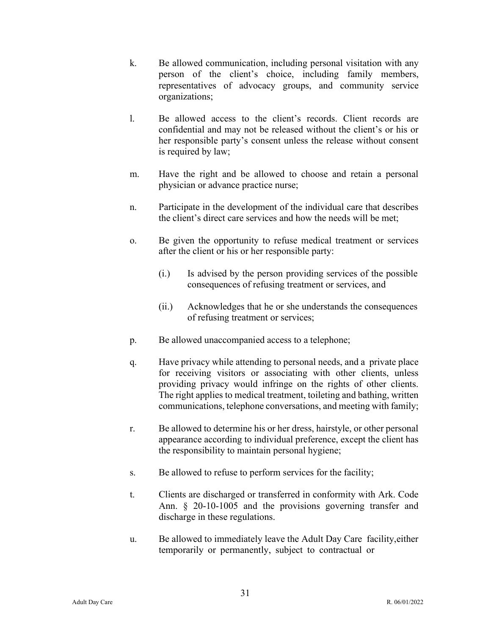- k. Be allowed communication, including personal visitation with any person of the client's choice, including family members, representatives of advocacy groups, and community service organizations;
- l. Be allowed access to the client's records. Client records are confidential and may not be released without the client's or his or her responsible party's consent unless the release without consent is required by law;
- m. Have the right and be allowed to choose and retain a personal physician or advance practice nurse;
- n. Participate in the development of the individual care that describes the client's direct care services and how the needs will be met;
- o. Be given the opportunity to refuse medical treatment or services after the client or his or her responsible party:
	- (i.) Is advised by the person providing services of the possible consequences of refusing treatment or services, and
	- (ii.) Acknowledges that he or she understands the consequences of refusing treatment or services;
- p. Be allowed unaccompanied access to a telephone;
- q. Have privacy while attending to personal needs, and a private place for receiving visitors or associating with other clients, unless providing privacy would infringe on the rights of other clients. The right applies to medical treatment, toileting and bathing, written communications, telephone conversations, and meeting with family;
- r. Be allowed to determine his or her dress, hairstyle, or other personal appearance according to individual preference, except the client has the responsibility to maintain personal hygiene;
- s. Be allowed to refuse to perform services for the facility;
- t. Clients are discharged or transferred in conformity with Ark. Code Ann. § 20-10-1005 and the provisions governing transfer and discharge in these regulations.
- u. Be allowed to immediately leave the Adult Day Care facility,either temporarily or permanently, subject to contractual or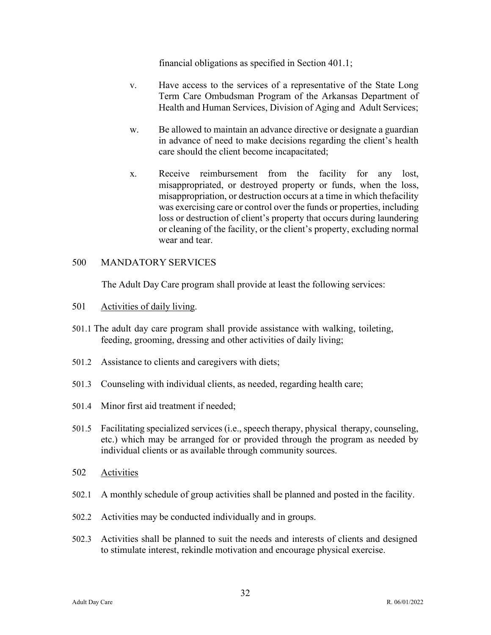financial obligations as specified in Section 401.1;

- v. Have access to the services of a representative of the State Long Term Care Ombudsman Program of the Arkansas Department of Health and Human Services, Division of Aging and Adult Services;
- w. Be allowed to maintain an advance directive or designate a guardian in advance of need to make decisions regarding the client's health care should the client become incapacitated;
- x. Receive reimbursement from the facility for any lost, misappropriated, or destroyed property or funds, when the loss, misappropriation, or destruction occurs at a time in which the facility was exercising care or control over the funds or properties, including loss or destruction of client's property that occurs during laundering or cleaning of the facility, or the client's property, excluding normal wear and tear.

# 500 MANDATORY SERVICES

The Adult Day Care program shall provide at least the following services:

- 501 Activities of daily living.
- 501.1 The adult day care program shall provide assistance with walking, toileting, feeding, grooming, dressing and other activities of daily living;
- 501.2 Assistance to clients and caregivers with diets;
- 501.3 Counseling with individual clients, as needed, regarding health care;
- 501.4 Minor first aid treatment if needed;
- 501.5 Facilitating specialized services (i.e., speech therapy, physical therapy, counseling, etc.) which may be arranged for or provided through the program as needed by individual clients or as available through community sources.
- 502 Activities
- 502.1 A monthly schedule of group activities shall be planned and posted in the facility.
- 502.2 Activities may be conducted individually and in groups.
- 502.3 Activities shall be planned to suit the needs and interests of clients and designed to stimulate interest, rekindle motivation and encourage physical exercise.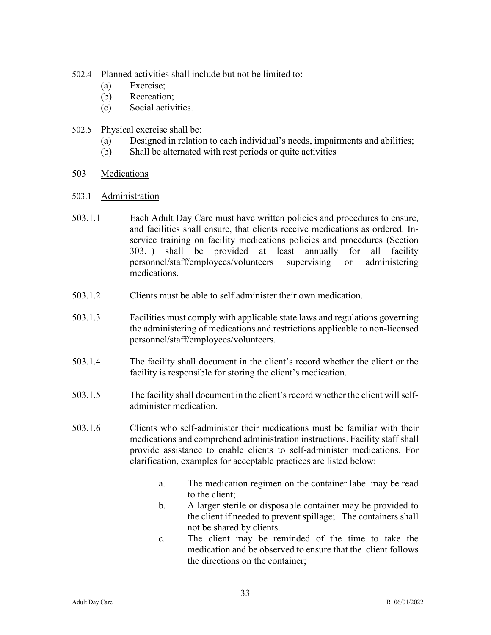- 502.4 Planned activities shall include but not be limited to:
	- (a) Exercise;
	- (b) Recreation;
	- (c) Social activities.
- 502.5 Physical exercise shall be:
	- (a) Designed in relation to each individual's needs, impairments and abilities;
	- (b) Shall be alternated with rest periods or quite activities
- 503 Medications
- 503.1 Administration
- 503.1.1 Each Adult Day Care must have written policies and procedures to ensure, and facilities shall ensure, that clients receive medications as ordered. Inservice training on facility medications policies and procedures (Section 303.1) shall be provided at least annually for all facility personnel/staff/employees/volunteers supervising or administering medications.
- 503.1.2 Clients must be able to self administer their own medication.
- 503.1.3 Facilities must comply with applicable state laws and regulations governing the administering of medications and restrictions applicable to non-licensed personnel/staff/employees/volunteers.
- 503.1.4 The facility shall document in the client's record whether the client or the facility is responsible for storing the client's medication.
- 503.1.5 The facility shall document in the client's record whether the client willselfadminister medication.
- 503.1.6 Clients who self-administer their medications must be familiar with their medications and comprehend administration instructions. Facility staff shall provide assistance to enable clients to self-administer medications. For clarification, examples for acceptable practices are listed below:
	- a. The medication regimen on the container label may be read to the client;
	- b. A larger sterile or disposable container may be provided to the client if needed to prevent spillage; The containers shall not be shared by clients.
	- c. The client may be reminded of the time to take the medication and be observed to ensure that the client follows the directions on the container;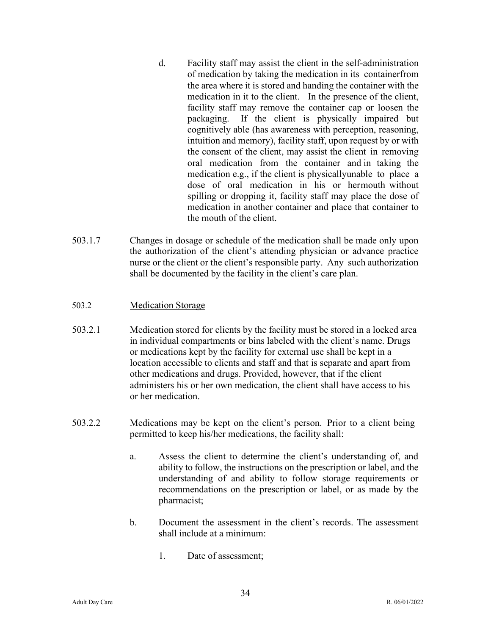- d. Facility staff may assist the client in the self-administration of medication by taking the medication in its containerfrom the area where it is stored and handing the container with the medication in it to the client. In the presence of the client, facility staff may remove the container cap or loosen the packaging. If the client is physically impaired but cognitively able (has awareness with perception, reasoning, intuition and memory), facility staff, upon request by or with the consent of the client, may assist the client in removing oral medication from the container and in taking the medication e.g., if the client is physically unable to place a dose of oral medication in his or hermouth without spilling or dropping it, facility staff may place the dose of medication in another container and place that container to the mouth of the client.
- 503.1.7 Changes in dosage or schedule of the medication shall be made only upon the authorization of the client's attending physician or advance practice nurse or the client or the client's responsible party. Any such authorization shall be documented by the facility in the client's care plan.

# 503.2 Medication Storage

- 503.2.1 Medication stored for clients by the facility must be stored in a locked area in individual compartments or bins labeled with the client's name. Drugs or medications kept by the facility for external use shall be kept in a location accessible to clients and staff and that is separate and apart from other medications and drugs. Provided, however, that if the client administers his or her own medication, the client shall have access to his or her medication.
- 503.2.2 Medications may be kept on the client's person. Prior to a client being permitted to keep his/her medications, the facility shall:
	- a. Assess the client to determine the client's understanding of, and ability to follow, the instructions on the prescription or label, and the understanding of and ability to follow storage requirements or recommendations on the prescription or label, or as made by the pharmacist;
	- b. Document the assessment in the client's records. The assessment shall include at a minimum:
		- 1. Date of assessment;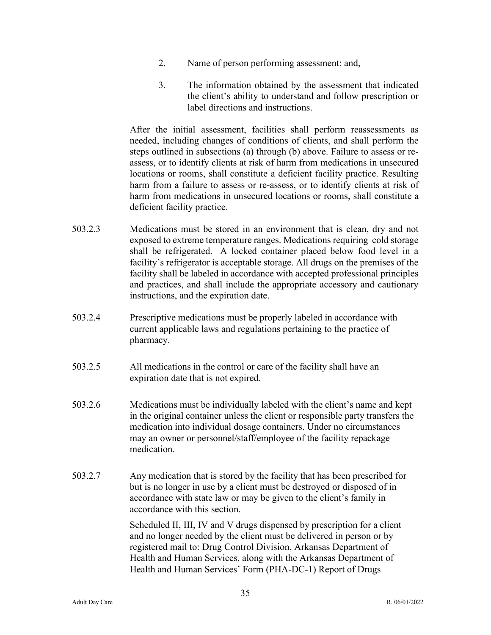- 2. Name of person performing assessment; and,
- 3. The information obtained by the assessment that indicated the client's ability to understand and follow prescription or label directions and instructions.

After the initial assessment, facilities shall perform reassessments as needed, including changes of conditions of clients, and shall perform the steps outlined in subsections (a) through (b) above. Failure to assess or reassess, or to identify clients at risk of harm from medications in unsecured locations or rooms, shall constitute a deficient facility practice. Resulting harm from a failure to assess or re-assess, or to identify clients at risk of harm from medications in unsecured locations or rooms, shall constitute a deficient facility practice.

- 503.2.3 Medications must be stored in an environment that is clean, dry and not exposed to extreme temperature ranges. Medications requiring cold storage shall be refrigerated. A locked container placed below food level in a facility's refrigerator is acceptable storage. All drugs on the premises of the facility shall be labeled in accordance with accepted professional principles and practices, and shall include the appropriate accessory and cautionary instructions, and the expiration date.
- 503.2.4 Prescriptive medications must be properly labeled in accordance with current applicable laws and regulations pertaining to the practice of pharmacy.
- 503.2.5 All medications in the control or care of the facility shall have an expiration date that is not expired.
- 503.2.6 Medications must be individually labeled with the client's name and kept in the original container unless the client or responsible party transfers the medication into individual dosage containers. Under no circumstances may an owner or personnel/staff/employee of the facility repackage medication.
- 503.2.7 Any medication that is stored by the facility that has been prescribed for but is no longer in use by a client must be destroyed or disposed of in accordance with state law or may be given to the client's family in accordance with this section.

Scheduled II, III, IV and V drugs dispensed by prescription for a client and no longer needed by the client must be delivered in person or by registered mail to: Drug Control Division, Arkansas Department of Health and Human Services, along with the Arkansas Department of Health and Human Services' Form (PHA-DC-1) Report of Drugs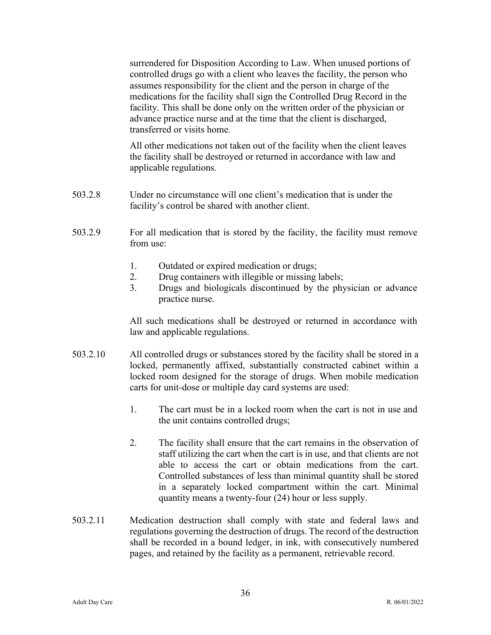surrendered for Disposition According to Law. When unused portions of controlled drugs go with a client who leaves the facility, the person who assumes responsibility for the client and the person in charge of the medications for the facility shall sign the Controlled Drug Record in the facility. This shall be done only on the written order of the physician or advance practice nurse and at the time that the client is discharged, transferred or visits home.

All other medications not taken out of the facility when the client leaves the facility shall be destroyed or returned in accordance with law and applicable regulations.

- 503.2.8 Under no circumstance will one client's medication that is under the facility's control be shared with another client.
- 503.2.9 For all medication that is stored by the facility, the facility must remove from use:
	- 1. Outdated or expired medication or drugs;
	- 2. Drug containers with illegible or missing labels;
	- 3. Drugs and biologicals discontinued by the physician or advance practice nurse.

All such medications shall be destroyed or returned in accordance with law and applicable regulations.

- 503.2.10 All controlled drugs or substances stored by the facility shall be stored in a locked, permanently affixed, substantially constructed cabinet within a locked room designed for the storage of drugs. When mobile medication carts for unit-dose or multiple day card systems are used:
	- 1. The cart must be in a locked room when the cart is not in use and the unit contains controlled drugs;
	- 2. The facility shall ensure that the cart remains in the observation of staff utilizing the cart when the cart is in use, and that clients are not able to access the cart or obtain medications from the cart. Controlled substances of less than minimal quantity shall be stored in a separately locked compartment within the cart. Minimal quantity means a twenty-four (24) hour or less supply.
- 503.2.11 Medication destruction shall comply with state and federal laws and regulations governing the destruction of drugs. The record of the destruction shall be recorded in a bound ledger, in ink, with consecutively numbered pages, and retained by the facility as a permanent, retrievable record.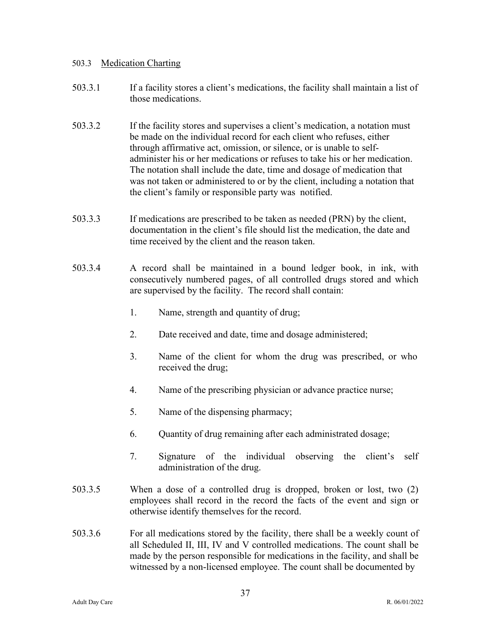#### 503.3 Medication Charting

- 503.3.1 If a facility stores a client's medications, the facility shall maintain a list of those medications.
- 503.3.2 If the facility stores and supervises a client's medication, a notation must be made on the individual record for each client who refuses, either through affirmative act, omission, or silence, or is unable to selfadminister his or her medications or refuses to take his or her medication. The notation shall include the date, time and dosage of medication that was not taken or administered to or by the client, including a notation that the client's family or responsible party was notified.
- 503.3.3 If medications are prescribed to be taken as needed (PRN) by the client, documentation in the client's file should list the medication, the date and time received by the client and the reason taken.
- 503.3.4 A record shall be maintained in a bound ledger book, in ink, with consecutively numbered pages, of all controlled drugs stored and which are supervised by the facility. The record shall contain:
	- 1. Name, strength and quantity of drug;
	- 2. Date received and date, time and dosage administered;
	- 3. Name of the client for whom the drug was prescribed, or who received the drug;
	- 4. Name of the prescribing physician or advance practice nurse;
	- 5. Name of the dispensing pharmacy;
	- 6. Quantity of drug remaining after each administrated dosage;
	- 7. Signature of the individual observing the client's self administration of the drug.
- 503.3.5 When a dose of a controlled drug is dropped, broken or lost, two (2) employees shall record in the record the facts of the event and sign or otherwise identify themselves for the record.
- 503.3.6 For all medications stored by the facility, there shall be a weekly count of all Scheduled II, III, IV and V controlled medications. The count shall be made by the person responsible for medications in the facility, and shall be witnessed by a non-licensed employee. The count shall be documented by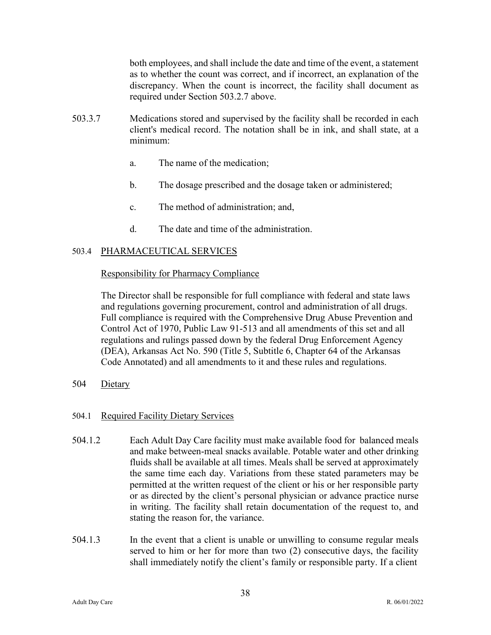both employees, and shall include the date and time of the event, a statement as to whether the count was correct, and if incorrect, an explanation of the discrepancy. When the count is incorrect, the facility shall document as required under Section 503.2.7 above.

- 503.3.7 Medications stored and supervised by the facility shall be recorded in each client's medical record. The notation shall be in ink, and shall state, at a minimum:
	- a. The name of the medication;
	- b. The dosage prescribed and the dosage taken or administered;
	- c. The method of administration; and,
	- d. The date and time of the administration.

# 503.4 PHARMACEUTICAL SERVICES

# Responsibility for Pharmacy Compliance

The Director shall be responsible for full compliance with federal and state laws and regulations governing procurement, control and administration of all drugs. Full compliance is required with the Comprehensive Drug Abuse Prevention and Control Act of 1970, Public Law 91-513 and all amendments of this set and all regulations and rulings passed down by the federal Drug Enforcement Agency (DEA), Arkansas Act No. 590 (Title 5, Subtitle 6, Chapter 64 of the Arkansas Code Annotated) and all amendments to it and these rules and regulations.

504 Dietary

# 504.1 Required Facility Dietary Services

- 504.1.2 Each Adult Day Care facility must make available food for balanced meals and make between-meal snacks available. Potable water and other drinking fluids shall be available at all times. Meals shall be served at approximately the same time each day. Variations from these stated parameters may be permitted at the written request of the client or his or her responsible party or as directed by the client's personal physician or advance practice nurse in writing. The facility shall retain documentation of the request to, and stating the reason for, the variance.
- 504.1.3 In the event that a client is unable or unwilling to consume regular meals served to him or her for more than two (2) consecutive days, the facility shall immediately notify the client's family or responsible party. If a client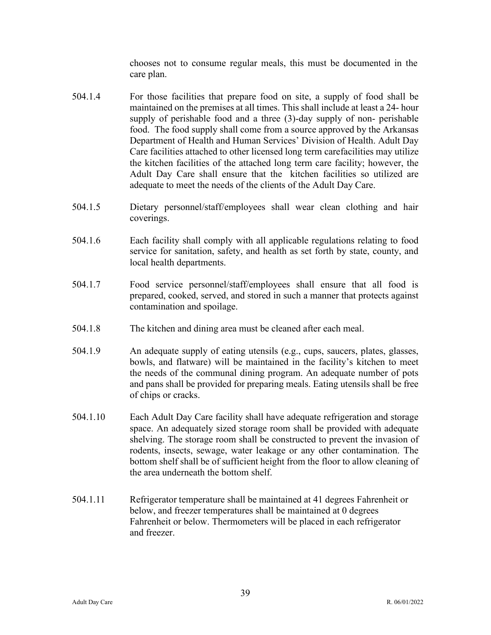chooses not to consume regular meals, this must be documented in the care plan.

- 504.1.4 For those facilities that prepare food on site, a supply of food shall be maintained on the premises at all times. This shall include at least a 24- hour supply of perishable food and a three (3)-day supply of non- perishable food. The food supply shall come from a source approved by the Arkansas Department of Health and Human Services' Division of Health. Adult Day Care facilities attached to other licensed long term carefacilities may utilize the kitchen facilities of the attached long term care facility; however, the Adult Day Care shall ensure that the kitchen facilities so utilized are adequate to meet the needs of the clients of the Adult Day Care.
- 504.1.5 Dietary personnel/staff/employees shall wear clean clothing and hair coverings.
- 504.1.6 Each facility shall comply with all applicable regulations relating to food service for sanitation, safety, and health as set forth by state, county, and local health departments.
- 504.1.7 Food service personnel/staff/employees shall ensure that all food is prepared, cooked, served, and stored in such a manner that protects against contamination and spoilage.
- 504.1.8 The kitchen and dining area must be cleaned after each meal.
- 504.1.9 An adequate supply of eating utensils (e.g., cups, saucers, plates, glasses, bowls, and flatware) will be maintained in the facility's kitchen to meet the needs of the communal dining program. An adequate number of pots and pans shall be provided for preparing meals. Eating utensils shall be free of chips or cracks.
- 504.1.10 Each Adult Day Care facility shall have adequate refrigeration and storage space. An adequately sized storage room shall be provided with adequate shelving. The storage room shall be constructed to prevent the invasion of rodents, insects, sewage, water leakage or any other contamination. The bottom shelf shall be of sufficient height from the floor to allow cleaning of the area underneath the bottom shelf.
- 504.1.11 Refrigerator temperature shall be maintained at 41 degrees Fahrenheit or below, and freezer temperatures shall be maintained at 0 degrees Fahrenheit or below. Thermometers will be placed in each refrigerator and freezer.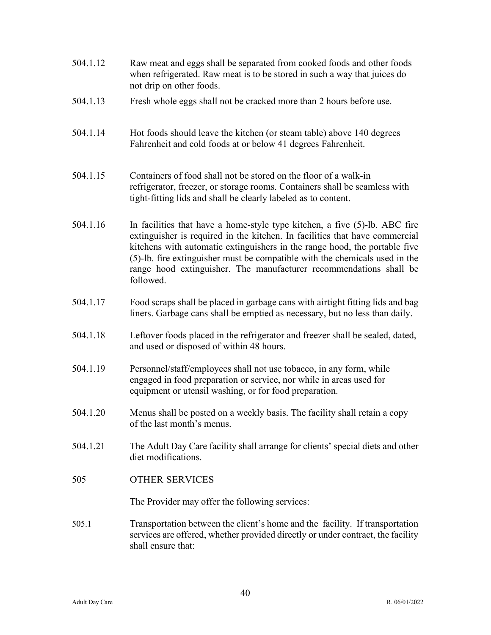| 504.1.12 | Raw meat and eggs shall be separated from cooked foods and other foods<br>when refrigerated. Raw meat is to be stored in such a way that juices do<br>not drip on other foods.                                                                                                                                                                                                                               |
|----------|--------------------------------------------------------------------------------------------------------------------------------------------------------------------------------------------------------------------------------------------------------------------------------------------------------------------------------------------------------------------------------------------------------------|
| 504.1.13 | Fresh whole eggs shall not be cracked more than 2 hours before use.                                                                                                                                                                                                                                                                                                                                          |
| 504.1.14 | Hot foods should leave the kitchen (or steam table) above 140 degrees<br>Fahrenheit and cold foods at or below 41 degrees Fahrenheit.                                                                                                                                                                                                                                                                        |
| 504.1.15 | Containers of food shall not be stored on the floor of a walk-in<br>refrigerator, freezer, or storage rooms. Containers shall be seamless with<br>tight-fitting lids and shall be clearly labeled as to content.                                                                                                                                                                                             |
| 504.1.16 | In facilities that have a home-style type kitchen, a five $(5)$ -lb. ABC fire<br>extinguisher is required in the kitchen. In facilities that have commercial<br>kitchens with automatic extinguishers in the range hood, the portable five<br>(5)-lb. fire extinguisher must be compatible with the chemicals used in the<br>range hood extinguisher. The manufacturer recommendations shall be<br>followed. |
| 504.1.17 | Food scraps shall be placed in garbage cans with airtight fitting lids and bag<br>liners. Garbage cans shall be emptied as necessary, but no less than daily.                                                                                                                                                                                                                                                |
| 504.1.18 | Leftover foods placed in the refrigerator and freezer shall be sealed, dated,<br>and used or disposed of within 48 hours.                                                                                                                                                                                                                                                                                    |
| 504.1.19 | Personnel/staff/employees shall not use tobacco, in any form, while<br>engaged in food preparation or service, nor while in areas used for<br>equipment or utensil washing, or for food preparation.                                                                                                                                                                                                         |
| 504.1.20 | Menus shall be posted on a weekly basis. The facility shall retain a copy<br>of the last month's menus.                                                                                                                                                                                                                                                                                                      |
| 504.1.21 | The Adult Day Care facility shall arrange for clients' special diets and other<br>diet modifications.                                                                                                                                                                                                                                                                                                        |
| 505      | <b>OTHER SERVICES</b>                                                                                                                                                                                                                                                                                                                                                                                        |
|          | The Provider may offer the following services:                                                                                                                                                                                                                                                                                                                                                               |
| 505.1    | Transportation between the client's home and the facility. If transportation<br>services are offered, whether provided directly or under contract, the facility<br>shall ensure that:                                                                                                                                                                                                                        |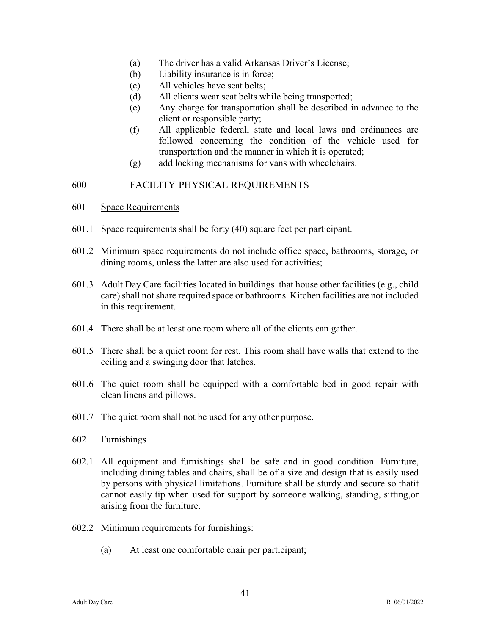- (a) The driver has a valid Arkansas Driver's License;
- (b) Liability insurance is in force;
- (c) All vehicles have seat belts;
- (d) All clients wear seat belts while being transported;
- (e) Any charge for transportation shall be described in advance to the client or responsible party;
- (f) All applicable federal, state and local laws and ordinances are followed concerning the condition of the vehicle used for transportation and the manner in which it is operated;
- (g) add locking mechanisms for vans with wheelchairs.

# 600 FACILITY PHYSICAL REQUIREMENTS

- 601 Space Requirements
- 601.1 Space requirements shall be forty (40) square feet per participant.
- 601.2 Minimum space requirements do not include office space, bathrooms, storage, or dining rooms, unless the latter are also used for activities;
- 601.3 Adult Day Care facilities located in buildings that house other facilities (e.g., child care) shall not share required space or bathrooms. Kitchen facilities are not included in this requirement.
- 601.4 There shall be at least one room where all of the clients can gather.
- 601.5 There shall be a quiet room for rest. This room shall have walls that extend to the ceiling and a swinging door that latches.
- 601.6 The quiet room shall be equipped with a comfortable bed in good repair with clean linens and pillows.
- 601.7 The quiet room shall not be used for any other purpose.
- 602 Furnishings
- 602.1 All equipment and furnishings shall be safe and in good condition. Furniture, including dining tables and chairs, shall be of a size and design that is easily used by persons with physical limitations. Furniture shall be sturdy and secure so thatit cannot easily tip when used for support by someone walking, standing, sitting, or arising from the furniture.
- 602.2 Minimum requirements for furnishings:
	- (a) At least one comfortable chair per participant;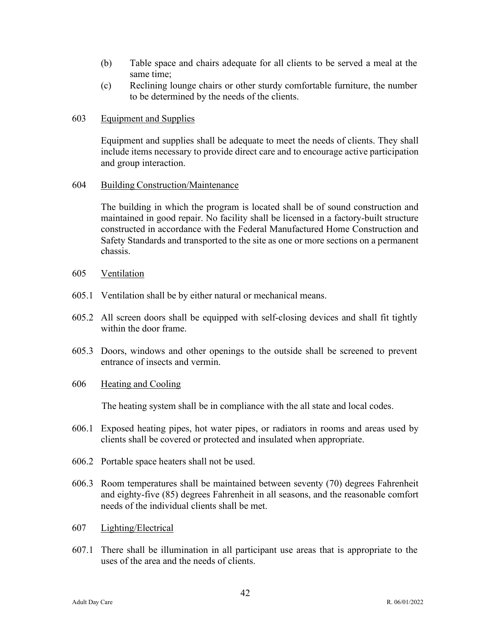- (b) Table space and chairs adequate for all clients to be served a meal at the same time;
- (c) Reclining lounge chairs or other sturdy comfortable furniture, the number to be determined by the needs of the clients.

#### 603 Equipment and Supplies

Equipment and supplies shall be adequate to meet the needs of clients. They shall include items necessary to provide direct care and to encourage active participation and group interaction.

#### 604 Building Construction/Maintenance

The building in which the program is located shall be of sound construction and maintained in good repair. No facility shall be licensed in a factory-built structure constructed in accordance with the Federal Manufactured Home Construction and Safety Standards and transported to the site as one or more sections on a permanent chassis.

- 605 Ventilation
- 605.1 Ventilation shall be by either natural or mechanical means.
- 605.2 All screen doors shall be equipped with self-closing devices and shall fit tightly within the door frame.
- 605.3 Doors, windows and other openings to the outside shall be screened to prevent entrance of insects and vermin.
- 606 Heating and Cooling

The heating system shall be in compliance with the all state and local codes.

- 606.1 Exposed heating pipes, hot water pipes, or radiators in rooms and areas used by clients shall be covered or protected and insulated when appropriate.
- 606.2 Portable space heaters shall not be used.
- 606.3 Room temperatures shall be maintained between seventy (70) degrees Fahrenheit and eighty-five (85) degrees Fahrenheit in all seasons, and the reasonable comfort needs of the individual clients shall be met.
- 607 Lighting/Electrical
- 607.1 There shall be illumination in all participant use areas that is appropriate to the uses of the area and the needs of clients.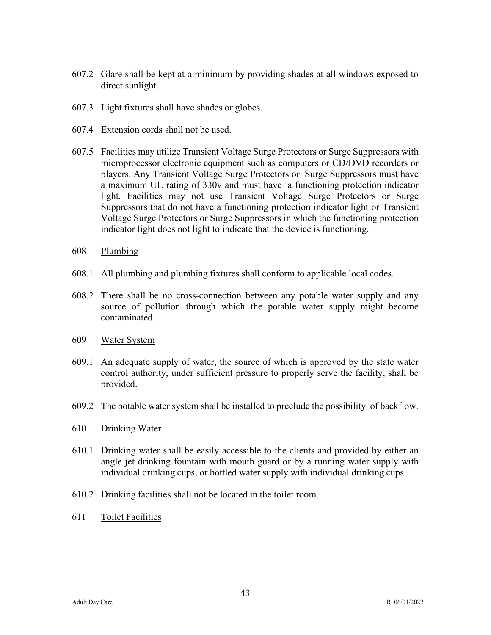- 607.2 Glare shall be kept at a minimum by providing shades at all windows exposed to direct sunlight.
- 607.3 Light fixtures shall have shades or globes.
- 607.4 Extension cords shall not be used.
- 607.5 Facilities may utilize Transient Voltage Surge Protectors or Surge Suppressors with microprocessor electronic equipment such as computers or CD/DVD recorders or players. Any Transient Voltage Surge Protectors or Surge Suppressors must have a maximum UL rating of 330v and must have a functioning protection indicator light. Facilities may not use Transient Voltage Surge Protectors or Surge Suppressors that do not have a functioning protection indicator light or Transient Voltage Surge Protectors or Surge Suppressors in which the functioning protection indicator light does not light to indicate that the device is functioning.
- 608 Plumbing
- 608.1 All plumbing and plumbing fixtures shall conform to applicable local codes.
- 608.2 There shall be no cross-connection between any potable water supply and any source of pollution through which the potable water supply might become contaminated.
- 609 Water System
- 609.1 An adequate supply of water, the source of which is approved by the state water control authority, under sufficient pressure to properly serve the facility, shall be provided.
- 609.2 The potable water system shall be installed to preclude the possibility of backflow.
- 610 Drinking Water
- 610.1 Drinking water shall be easily accessible to the clients and provided by either an angle jet drinking fountain with mouth guard or by a running water supply with individual drinking cups, or bottled water supply with individual drinking cups.
- 610.2 Drinking facilities shall not be located in the toilet room.
- 611 Toilet Facilities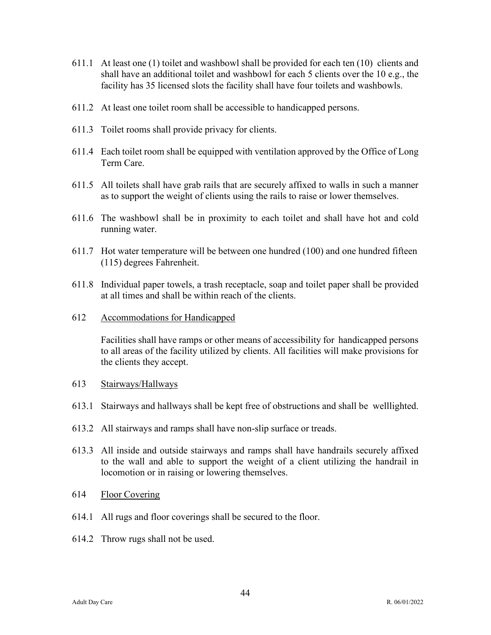- 611.1 At least one (1) toilet and washbowl shall be provided for each ten (10) clients and shall have an additional toilet and washbowl for each 5 clients over the 10 e.g., the facility has 35 licensed slots the facility shall have four toilets and washbowls.
- 611.2 At least one toilet room shall be accessible to handicapped persons.
- 611.3 Toilet rooms shall provide privacy for clients.
- 611.4 Each toilet room shall be equipped with ventilation approved by the Office of Long Term Care.
- 611.5 All toilets shall have grab rails that are securely affixed to walls in such a manner as to support the weight of clients using the rails to raise or lower themselves.
- 611.6 The washbowl shall be in proximity to each toilet and shall have hot and cold running water.
- 611.7 Hot water temperature will be between one hundred (100) and one hundred fifteen (115) degrees Fahrenheit.
- 611.8 Individual paper towels, a trash receptacle, soap and toilet paper shall be provided at all times and shall be within reach of the clients.
- 612 Accommodations for Handicapped

Facilities shall have ramps or other means of accessibility for handicapped persons to all areas of the facility utilized by clients. All facilities will make provisions for the clients they accept.

- 613 Stairways/Hallways
- 613.1 Stairways and hallways shall be kept free of obstructions and shall be well lighted.
- 613.2 All stairways and ramps shall have non-slip surface or treads.
- 613.3 All inside and outside stairways and ramps shall have handrails securely affixed to the wall and able to support the weight of a client utilizing the handrail in locomotion or in raising or lowering themselves.
- 614 Floor Covering
- 614.1 All rugs and floor coverings shall be secured to the floor.
- 614.2 Throw rugs shall not be used.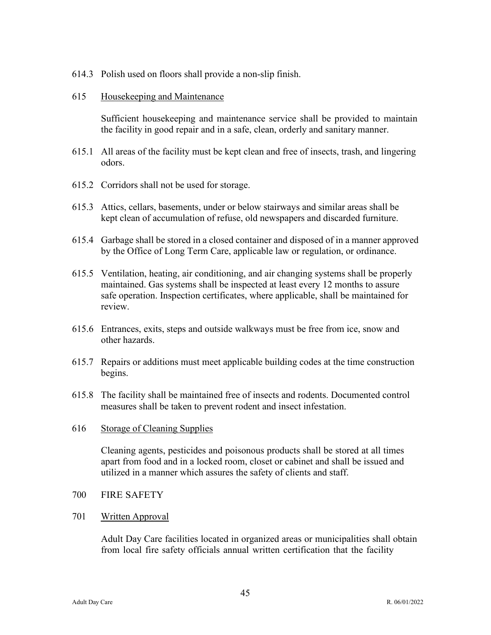614.3 Polish used on floors shall provide a non-slip finish.

#### 615 Housekeeping and Maintenance

Sufficient housekeeping and maintenance service shall be provided to maintain the facility in good repair and in a safe, clean, orderly and sanitary manner.

- 615.1 All areas of the facility must be kept clean and free of insects, trash, and lingering odors.
- 615.2 Corridors shall not be used for storage.
- 615.3 Attics, cellars, basements, under or below stairways and similar areas shall be kept clean of accumulation of refuse, old newspapers and discarded furniture.
- 615.4 Garbage shall be stored in a closed container and disposed of in a manner approved by the Office of Long Term Care, applicable law or regulation, or ordinance.
- 615.5 Ventilation, heating, air conditioning, and air changing systems shall be properly maintained. Gas systems shall be inspected at least every 12 months to assure safe operation. Inspection certificates, where applicable, shall be maintained for review.
- 615.6 Entrances, exits, steps and outside walkways must be free from ice, snow and other hazards.
- 615.7 Repairs or additions must meet applicable building codes at the time construction begins.
- 615.8 The facility shall be maintained free of insects and rodents. Documented control measures shall be taken to prevent rodent and insect infestation.

#### 616 Storage of Cleaning Supplies

Cleaning agents, pesticides and poisonous products shall be stored at all times apart from food and in a locked room, closet or cabinet and shall be issued and utilized in a manner which assures the safety of clients and staff.

- 700 FIRE SAFETY
- 701 Written Approval

Adult Day Care facilities located in organized areas or municipalities shall obtain from local fire safety officials annual written certification that the facility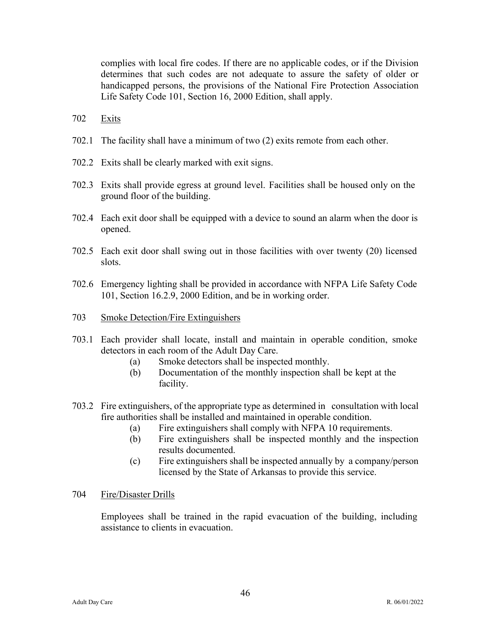complies with local fire codes. If there are no applicable codes, or if the Division determines that such codes are not adequate to assure the safety of older or handicapped persons, the provisions of the National Fire Protection Association Life Safety Code 101, Section 16, 2000 Edition, shall apply.

- 702 Exits
- 702.1 The facility shall have a minimum of two (2) exits remote from each other.
- 702.2 Exits shall be clearly marked with exit signs.
- 702.3 Exits shall provide egress at ground level. Facilities shall be housed only on the ground floor of the building.
- 702.4 Each exit door shall be equipped with a device to sound an alarm when the door is opened.
- 702.5 Each exit door shall swing out in those facilities with over twenty (20) licensed slots.
- 702.6 Emergency lighting shall be provided in accordance with NFPA Life Safety Code 101, Section 16.2.9, 2000 Edition, and be in working order.
- 703 Smoke Detection/Fire Extinguishers
- 703.1 Each provider shall locate, install and maintain in operable condition, smoke detectors in each room of the Adult Day Care.
	- (a) Smoke detectors shall be inspected monthly.
	- (b) Documentation of the monthly inspection shall be kept at the facility.
- 703.2 Fire extinguishers, of the appropriate type as determined in consultation with local fire authorities shall be installed and maintained in operable condition.
	- (a) Fire extinguishers shall comply with NFPA 10 requirements.
	- (b) Fire extinguishers shall be inspected monthly and the inspection results documented.
	- (c) Fire extinguishers shall be inspected annually by a company/person licensed by the State of Arkansas to provide this service.
- 704 Fire/Disaster Drills

Employees shall be trained in the rapid evacuation of the building, including assistance to clients in evacuation.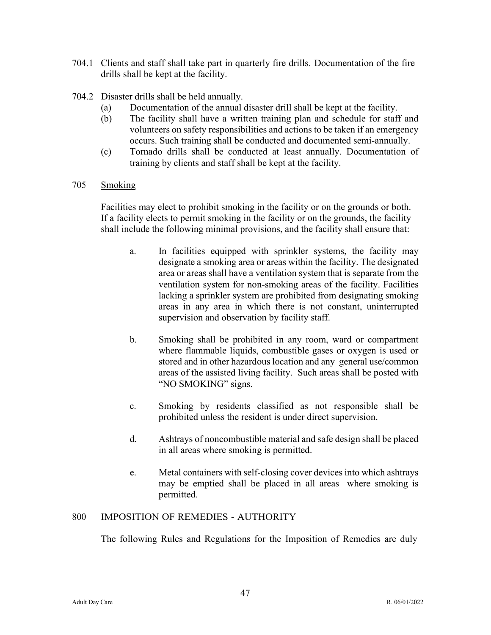- 704.1 Clients and staff shall take part in quarterly fire drills. Documentation of the fire drills shall be kept at the facility.
- 704.2 Disaster drills shall be held annually.
	- (a) Documentation of the annual disaster drill shall be kept at the facility.
	- (b) The facility shall have a written training plan and schedule for staff and volunteers on safety responsibilities and actions to be taken if an emergency occurs. Such training shall be conducted and documented semi-annually.
	- (c) Tornado drills shall be conducted at least annually. Documentation of training by clients and staff shall be kept at the facility.
- 705 Smoking

Facilities may elect to prohibit smoking in the facility or on the grounds or both. If a facility elects to permit smoking in the facility or on the grounds, the facility shall include the following minimal provisions, and the facility shall ensure that:

- a. In facilities equipped with sprinkler systems, the facility may designate a smoking area or areas within the facility. The designated area or areas shall have a ventilation system that is separate from the ventilation system for non-smoking areas of the facility. Facilities lacking a sprinkler system are prohibited from designating smoking areas in any area in which there is not constant, uninterrupted supervision and observation by facility staff.
- b. Smoking shall be prohibited in any room, ward or compartment where flammable liquids, combustible gases or oxygen is used or stored and in other hazardous location and any general use/common areas of the assisted living facility. Such areas shall be posted with "NO SMOKING" signs.
- c. Smoking by residents classified as not responsible shall be prohibited unless the resident is under direct supervision.
- d. Ashtrays of noncombustible material and safe design shall be placed in all areas where smoking is permitted.
- e. Metal containers with self-closing cover devices into which ashtrays may be emptied shall be placed in all areas where smoking is permitted.

# 800 IMPOSITION OF REMEDIES - AUTHORITY

The following Rules and Regulations for the Imposition of Remedies are duly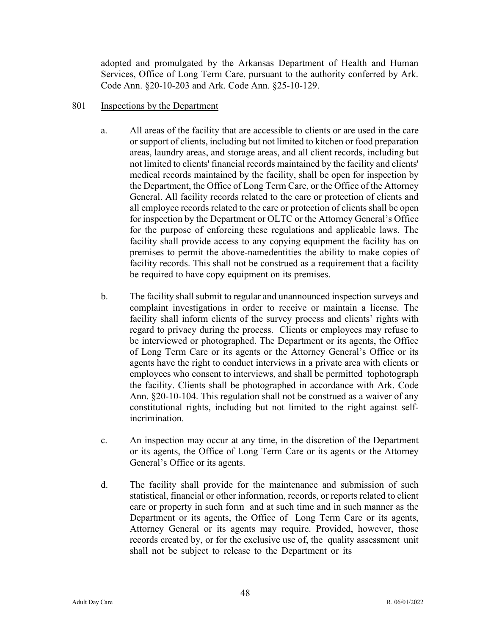adopted and promulgated by the Arkansas Department of Health and Human Services, Office of Long Term Care, pursuant to the authority conferred by Ark. Code Ann. §20-10-203 and Ark. Code Ann. §25-10-129.

# 801 Inspections by the Department

- a. All areas of the facility that are accessible to clients or are used in the care or support of clients, including but not limited to kitchen or food preparation areas, laundry areas, and storage areas, and all client records, including but not limited to clients' financial records maintained by the facility and clients' medical records maintained by the facility, shall be open for inspection by the Department, the Office of Long Term Care, or the Office of the Attorney General. All facility records related to the care or protection of clients and all employee records related to the care or protection of clients shall be open for inspection by the Department or OLTC or the Attorney General's Office for the purpose of enforcing these regulations and applicable laws. The facility shall provide access to any copying equipment the facility has on premises to permit the above-namedentities the ability to make copies of facility records. This shall not be construed as a requirement that a facility be required to have copy equipment on its premises.
- b. The facility shall submit to regular and unannounced inspection surveys and complaint investigations in order to receive or maintain a license. The facility shall inform clients of the survey process and clients' rights with regard to privacy during the process. Clients or employees may refuse to be interviewed or photographed. The Department or its agents, the Office of Long Term Care or its agents or the Attorney General's Office or its agents have the right to conduct interviews in a private area with clients or employees who consent to interviews, and shall be permitted tophotograph the facility. Clients shall be photographed in accordance with Ark. Code Ann. §20-10-104. This regulation shall not be construed as a waiver of any constitutional rights, including but not limited to the right against selfincrimination.
- c. An inspection may occur at any time, in the discretion of the Department or its agents, the Office of Long Term Care or its agents or the Attorney General's Office or its agents.
- d. The facility shall provide for the maintenance and submission of such statistical, financial or other information, records, or reports related to client care or property in such form and at such time and in such manner as the Department or its agents, the Office of Long Term Care or its agents, Attorney General or its agents may require. Provided, however, those records created by, or for the exclusive use of, the quality assessment unit shall not be subject to release to the Department or its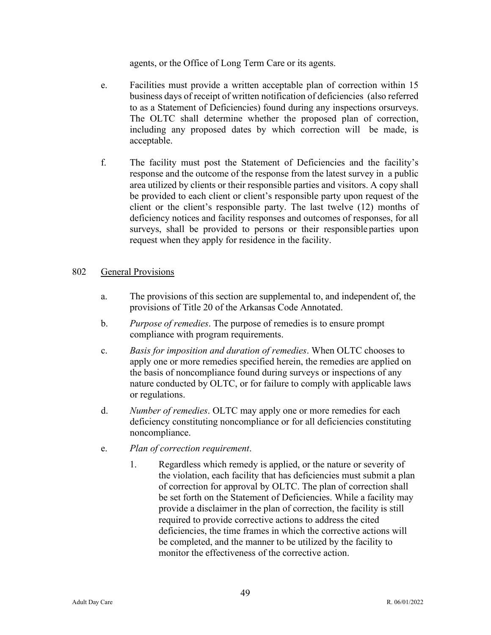agents, or the Office of Long Term Care or its agents.

- e. Facilities must provide a written acceptable plan of correction within 15 business days of receipt of written notification of deficiencies (also referred to as a Statement of Deficiencies) found during any inspections or surveys. The OLTC shall determine whether the proposed plan of correction, including any proposed dates by which correction will be made, is acceptable.
- f. The facility must post the Statement of Deficiencies and the facility's response and the outcome of the response from the latest survey in a public area utilized by clients or their responsible parties and visitors. A copy shall be provided to each client or client's responsible party upon request of the client or the client's responsible party. The last twelve (12) months of deficiency notices and facility responses and outcomes of responses, for all surveys, shall be provided to persons or their responsible parties upon request when they apply for residence in the facility.

# 802 General Provisions

- a. The provisions of this section are supplemental to, and independent of, the provisions of Title 20 of the Arkansas Code Annotated.
- b. *Purpose of remedies*. The purpose of remedies is to ensure prompt compliance with program requirements.
- c. *Basis for imposition and duration of remedies*. When OLTC chooses to apply one or more remedies specified herein, the remedies are applied on the basis of noncompliance found during surveys or inspections of any nature conducted by OLTC, or for failure to comply with applicable laws or regulations.
- d. *Number of remedies*. OLTC may apply one or more remedies for each deficiency constituting noncompliance or for all deficiencies constituting noncompliance.
- e. *Plan of correction requirement*.
	- 1. Regardless which remedy is applied, or the nature or severity of the violation, each facility that has deficiencies must submit a plan of correction for approval by OLTC. The plan of correction shall be set forth on the Statement of Deficiencies. While a facility may provide a disclaimer in the plan of correction, the facility is still required to provide corrective actions to address the cited deficiencies, the time frames in which the corrective actions will be completed, and the manner to be utilized by the facility to monitor the effectiveness of the corrective action.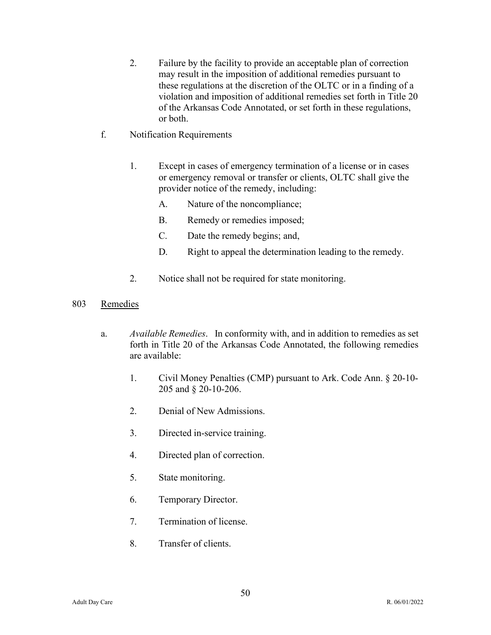- 2. Failure by the facility to provide an acceptable plan of correction may result in the imposition of additional remedies pursuant to these regulations at the discretion of the OLTC or in a finding of a violation and imposition of additional remedies set forth in Title 20 of the Arkansas Code Annotated, or set forth in these regulations, or both.
- f. Notification Requirements
	- 1. Except in cases of emergency termination of a license or in cases or emergency removal or transfer or clients, OLTC shall give the provider notice of the remedy, including:
		- A. Nature of the noncompliance;
		- B. Remedy or remedies imposed;
		- C. Date the remedy begins; and,
		- D. Right to appeal the determination leading to the remedy.
	- 2. Notice shall not be required for state monitoring.

# 803 Remedies

- a. *Available Remedies*. In conformity with, and in addition to remedies as set forth in Title 20 of the Arkansas Code Annotated, the following remedies are available:
	- 1. Civil Money Penalties (CMP) pursuant to Ark. Code Ann. § 20-10- 205 and § 20-10-206.
	- 2. Denial of New Admissions.
	- 3. Directed in-service training.
	- 4. Directed plan of correction.
	- 5. State monitoring.
	- 6. Temporary Director.
	- 7. Termination of license.
	- 8. Transfer of clients.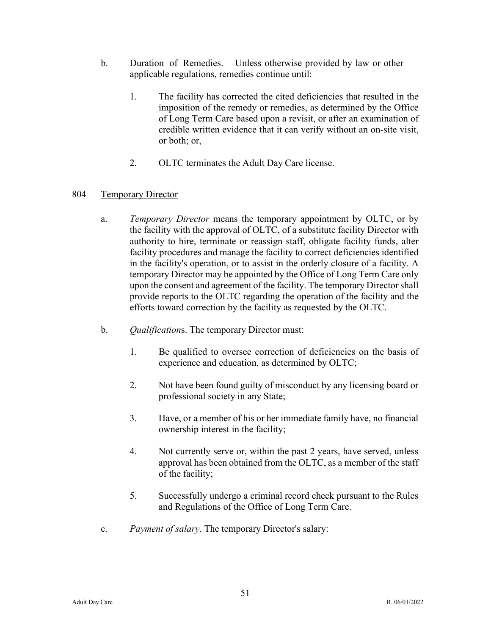- b. Duration of Remedies. Unless otherwise provided by law or other applicable regulations, remedies continue until:
	- 1. The facility has corrected the cited deficiencies that resulted in the imposition of the remedy or remedies, as determined by the Office of Long Term Care based upon a revisit, or after an examination of credible written evidence that it can verify without an on-site visit, or both; or,
	- 2. OLTC terminates the Adult Day Care license.

# 804 Temporary Director

- a. *Temporary Director* means the temporary appointment by OLTC, or by the facility with the approval of OLTC, of a substitute facility Director with authority to hire, terminate or reassign staff, obligate facility funds, alter facility procedures and manage the facility to correct deficiencies identified in the facility's operation, or to assist in the orderly closure of a facility. A temporary Director may be appointed by the Office of Long Term Care only upon the consent and agreement of the facility. The temporary Directorshall provide reports to the OLTC regarding the operation of the facility and the efforts toward correction by the facility as requested by the OLTC.
- b. *Qualification*s. The temporary Director must:
	- 1. Be qualified to oversee correction of deficiencies on the basis of experience and education, as determined by OLTC;
	- 2. Not have been found guilty of misconduct by any licensing board or professional society in any State;
	- 3. Have, or a member of his or her immediate family have, no financial ownership interest in the facility;
	- 4. Not currently serve or, within the past 2 years, have served, unless approval has been obtained from the OLTC, as a member of the staff of the facility;
	- 5. Successfully undergo a criminal record check pursuant to the Rules and Regulations of the Office of Long Term Care.
- c. *Payment of salary*. The temporary Director's salary: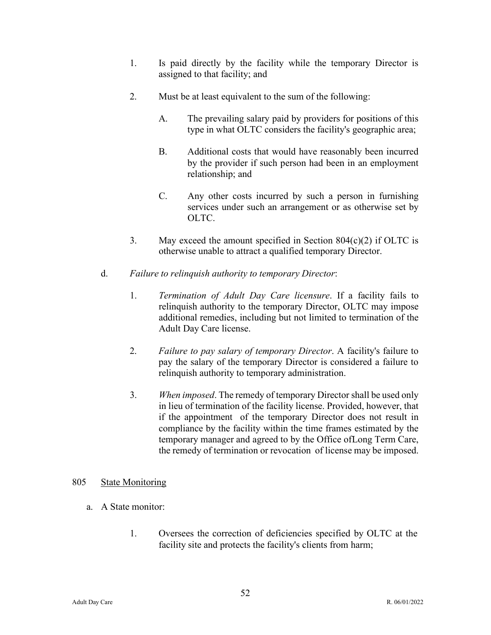- 1. Is paid directly by the facility while the temporary Director is assigned to that facility; and
- 2. Must be at least equivalent to the sum of the following:
	- A. The prevailing salary paid by providers for positions of this type in what OLTC considers the facility's geographic area;
	- B. Additional costs that would have reasonably been incurred by the provider if such person had been in an employment relationship; and
	- C. Any other costs incurred by such a person in furnishing services under such an arrangement or as otherwise set by OLTC.
- 3. May exceed the amount specified in Section  $804(c)(2)$  if OLTC is otherwise unable to attract a qualified temporary Director.
- d. *Failure to relinquish authority to temporary Director*:
	- 1. *Termination of Adult Day Care licensure*. If a facility fails to relinquish authority to the temporary Director, OLTC may impose additional remedies, including but not limited to termination of the Adult Day Care license.
	- 2. *Failure to pay salary of temporary Director*. A facility's failure to pay the salary of the temporary Director is considered a failure to relinquish authority to temporary administration.
	- 3. *When imposed*. The remedy of temporary Director shall be used only in lieu of termination of the facility license. Provided, however, that if the appointment of the temporary Director does not result in compliance by the facility within the time frames estimated by the temporary manager and agreed to by the Office of Long Term Care, the remedy of termination or revocation of license may be imposed.

# 805 State Monitoring

- a. A State monitor:
	- 1. Oversees the correction of deficiencies specified by OLTC at the facility site and protects the facility's clients from harm;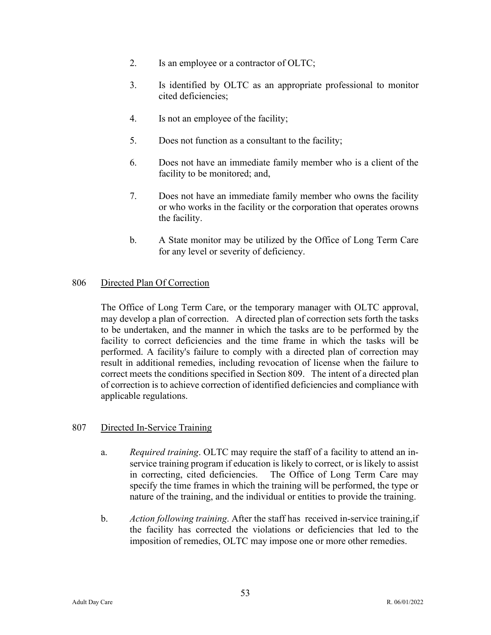- 2. Is an employee or a contractor of OLTC;
- 3. Is identified by OLTC as an appropriate professional to monitor cited deficiencies;
- 4. Is not an employee of the facility;
- 5. Does not function as a consultant to the facility;
- 6. Does not have an immediate family member who is a client of the facility to be monitored; and,
- 7. Does not have an immediate family member who owns the facility or who works in the facility or the corporation that operates orowns the facility.
- b. A State monitor may be utilized by the Office of Long Term Care for any level or severity of deficiency.

# 806 Directed Plan Of Correction

The Office of Long Term Care, or the temporary manager with OLTC approval, may develop a plan of correction. A directed plan of correction sets forth the tasks to be undertaken, and the manner in which the tasks are to be performed by the facility to correct deficiencies and the time frame in which the tasks will be performed. A facility's failure to comply with a directed plan of correction may result in additional remedies, including revocation of license when the failure to correct meets the conditions specified in Section 809. The intent of a directed plan of correction is to achieve correction of identified deficiencies and compliance with applicable regulations.

# 807 Directed In-Service Training

- a. *Required training*. OLTC may require the staff of a facility to attend an inservice training program if education is likely to correct, or is likely to assist in correcting, cited deficiencies. The Office of Long Term Care may specify the time frames in which the training will be performed, the type or nature of the training, and the individual or entities to provide the training.
- b. *Action following training*. After the staff has received in-service training,if the facility has corrected the violations or deficiencies that led to the imposition of remedies, OLTC may impose one or more other remedies.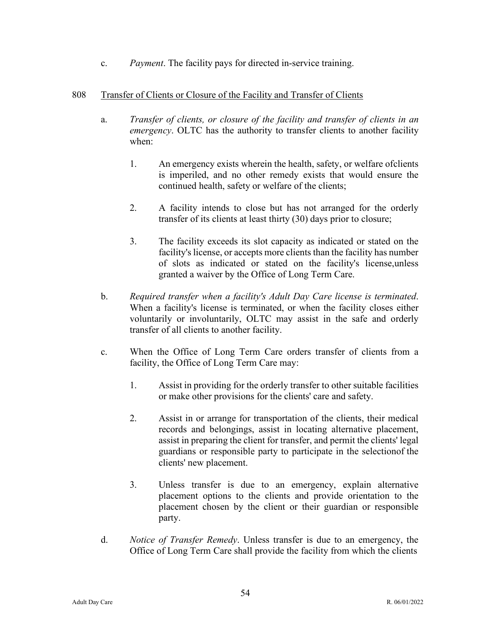c. *Payment*. The facility pays for directed in-service training.

# 808 Transfer of Clients or Closure of the Facility and Transfer of Clients

- a. *Transfer of clients, or closure of the facility and transfer of clients in an emergency*. OLTC has the authority to transfer clients to another facility when:
	- 1. An emergency exists wherein the health, safety, or welfare of clients is imperiled, and no other remedy exists that would ensure the continued health, safety or welfare of the clients;
	- 2. A facility intends to close but has not arranged for the orderly transfer of its clients at least thirty (30) days prior to closure;
	- 3. The facility exceeds its slot capacity as indicated or stated on the facility's license, or accepts more clients than the facility has number of slots as indicated or stated on the facility's license, unless granted a waiver by the Office of Long Term Care.
- b. *Required transfer when a facility's Adult Day Care license is terminated*. When a facility's license is terminated, or when the facility closes either voluntarily or involuntarily, OLTC may assist in the safe and orderly transfer of all clients to another facility.
- c. When the Office of Long Term Care orders transfer of clients from a facility, the Office of Long Term Care may:
	- 1. Assist in providing for the orderly transfer to other suitable facilities or make other provisions for the clients' care and safety.
	- 2. Assist in or arrange for transportation of the clients, their medical records and belongings, assist in locating alternative placement, assist in preparing the client for transfer, and permit the clients' legal guardians or responsible party to participate in the selection of the clients' new placement.
	- 3. Unless transfer is due to an emergency, explain alternative placement options to the clients and provide orientation to the placement chosen by the client or their guardian or responsible party.
- d. *Notice of Transfer Remedy*. Unless transfer is due to an emergency, the Office of Long Term Care shall provide the facility from which the clients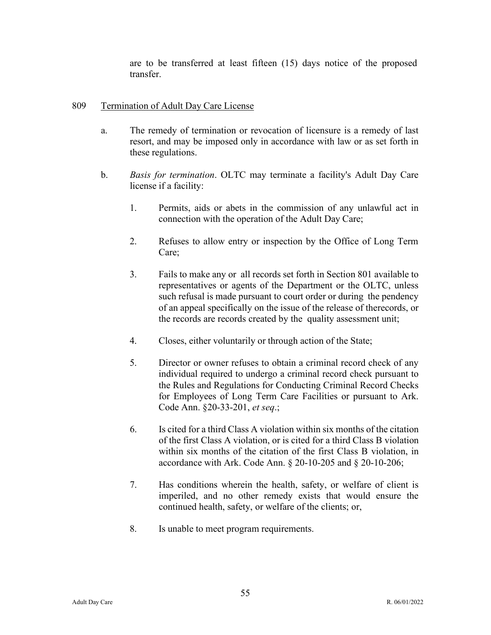are to be transferred at least fifteen (15) days notice of the proposed transfer.

# 809 Termination of Adult Day Care License

- a. The remedy of termination or revocation of licensure is a remedy of last resort, and may be imposed only in accordance with law or as set forth in these regulations.
- b. *Basis for termination*. OLTC may terminate a facility's Adult Day Care license if a facility:
	- 1. Permits, aids or abets in the commission of any unlawful act in connection with the operation of the Adult Day Care;
	- 2. Refuses to allow entry or inspection by the Office of Long Term Care;
	- 3. Fails to make any or all records set forth in Section 801 available to representatives or agents of the Department or the OLTC, unless such refusal is made pursuant to court order or during the pendency of an appeal specifically on the issue of the release of therecords, or the records are records created by the quality assessment unit;
	- 4. Closes, either voluntarily or through action of the State;
	- 5. Director or owner refuses to obtain a criminal record check of any individual required to undergo a criminal record check pursuant to the Rules and Regulations for Conducting Criminal Record Checks for Employees of Long Term Care Facilities or pursuant to Ark. Code Ann. §20-33-201, *et seq*.;
	- 6. Is cited for a third Class A violation within six months of the citation of the first Class A violation, or is cited for a third Class B violation within six months of the citation of the first Class B violation, in accordance with Ark. Code Ann. § 20-10-205 and § 20-10-206;
	- 7. Has conditions wherein the health, safety, or welfare of client is imperiled, and no other remedy exists that would ensure the continued health, safety, or welfare of the clients; or,
	- 8. Is unable to meet program requirements.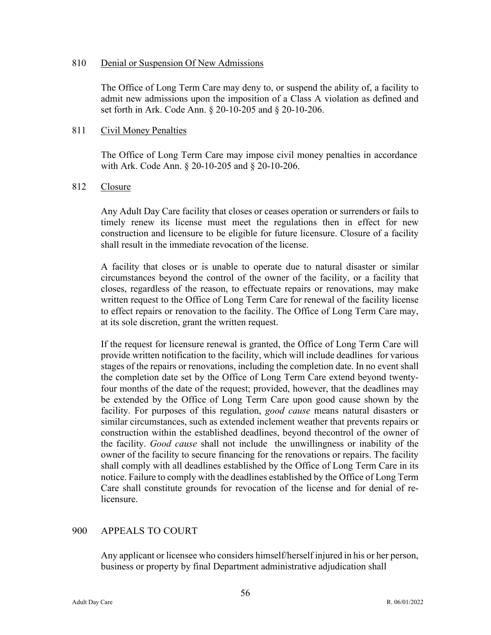#### 810 Denial or Suspension Of New Admissions

The Office of Long Term Care may deny to, or suspend the ability of, a facility to admit new admissions upon the imposition of a Class A violation as defined and set forth in Ark. Code Ann. § 20-10-205 and § 20-10-206.

#### 811 Civil Money Penalties

The Office of Long Term Care may impose civil money penalties in accordance with Ark. Code Ann. § 20-10-205 and § 20-10-206.

#### 812 Closure

Any Adult Day Care facility that closes or ceases operation or surrenders or fails to timely renew its license must meet the regulations then in effect for new construction and licensure to be eligible for future licensure. Closure of a facility shall result in the immediate revocation of the license.

A facility that closes or is unable to operate due to natural disaster or similar circumstances beyond the control of the owner of the facility, or a facility that closes, regardless of the reason, to effectuate repairs or renovations, may make written request to the Office of Long Term Care for renewal of the facility license to effect repairs or renovation to the facility. The Office of Long Term Care may, at its sole discretion, grant the written request.

If the request for licensure renewal is granted, the Office of Long Term Care will provide written notification to the facility, which will include deadlines for various stages of the repairs or renovations, including the completion date. In no event shall the completion date set by the Office of Long Term Care extend beyond twentyfour months of the date of the request; provided, however, that the deadlines may be extended by the Office of Long Term Care upon good cause shown by the facility. For purposes of this regulation, *good cause* means natural disasters or similar circumstances, such as extended inclement weather that prevents repairs or construction within the established deadlines, beyond the control of the owner of the facility. *Good cause* shall not include the unwillingness or inability of the owner of the facility to secure financing for the renovations or repairs. The facility shall comply with all deadlines established by the Office of Long Term Care in its notice. Failure to comply with the deadlines established by the Office of Long Term Care shall constitute grounds for revocation of the license and for denial of relicensure.

# 900 APPEALS TO COURT

Any applicant or licensee who considers himself/herself injured in his or her person, business or property by final Department administrative adjudication shall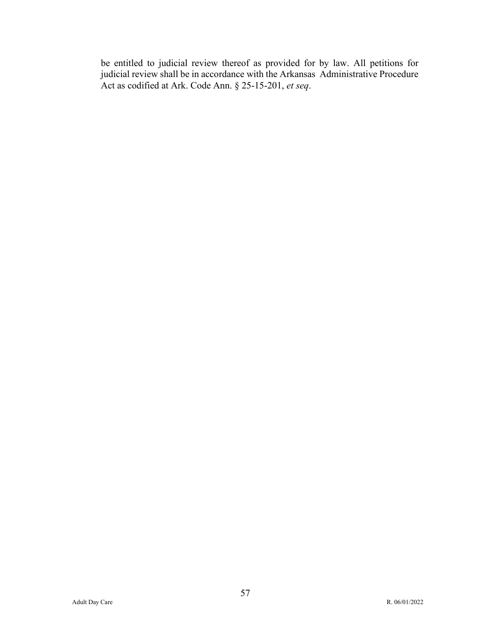be entitled to judicial review thereof as provided for by law. All petitions for judicial review shall be in accordance with the Arkansas Administrative Procedure Act as codified at Ark. Code Ann. § 25-15-201, *et seq*.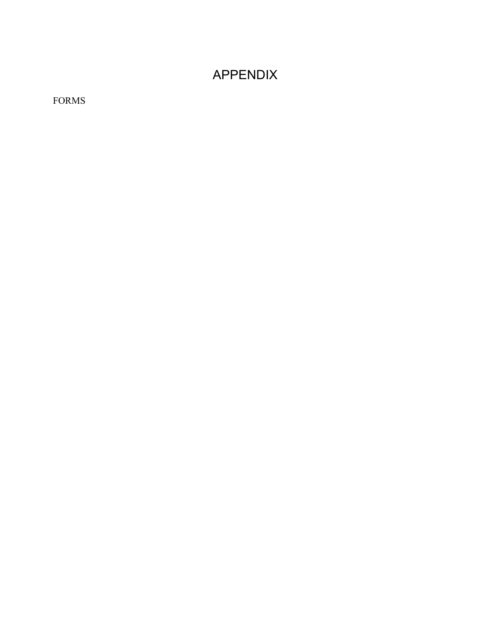# APPENDIX

FORMS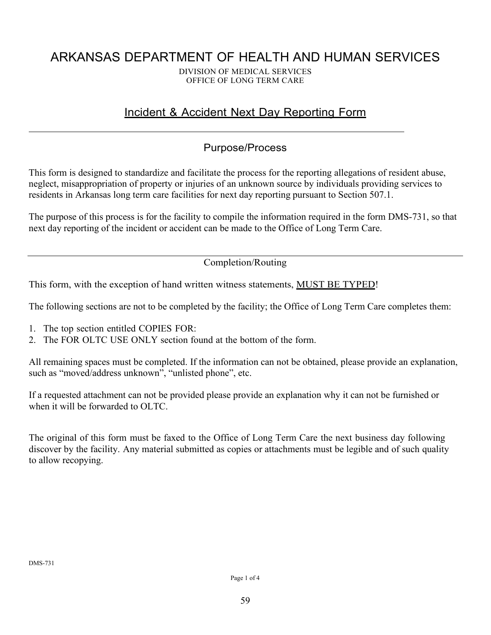# ARKANSAS DEPARTMENT OF HEALTH AND HUMAN SERVICES

DIVISION OF MEDICAL SERVICES OFFICE OF LONG TERM CARE

# Incident & Accident Next Day Reporting Form

# Purpose/Process

This form is designed to standardize and facilitate the process for the reporting allegations of resident abuse, neglect, misappropriation of property or injuries of an unknown source by individuals providing services to residents in Arkansas long term care facilities for next day reporting pursuant to Section 507.1.

The purpose of this process is for the facility to compile the information required in the form DMS-731, so that next day reporting of the incident or accident can be made to the Office of Long Term Care.

Completion/Routing

This form, with the exception of hand written witness statements, **MUST BE TYPED!** 

The following sections are not to be completed by the facility; the Office of Long Term Care completes them:

- 1. The top section entitled COPIES FOR:
- 2. The FOR OLTC USE ONLY section found at the bottom of the form.

All remaining spaces must be completed. If the information can not be obtained, please provide an explanation, such as "moved/address unknown", "unlisted phone", etc.

If a requested attachment can not be provided please provide an explanation why it can not be furnished or when it will be forwarded to OLTC.

The original of this form must be faxed to the Office of Long Term Care the next business day following discover by the facility. Any material submitted as copies or attachments must be legible and of such quality to allow recopying.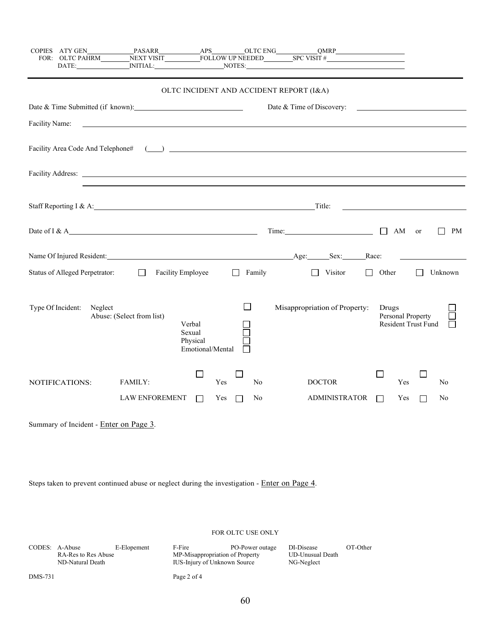|                | COPIES ATY GEN                        |                                                                                                                      |                                                  |                                     | DATE: NITIAL: NOTES: NOTES: NOTES: NOTES: NOTES: NOTES: NOTES: NOTES: NOTES: NOTES: NOTES: NOTES: NOTES: NOTES: NOTES: NOTES: NOTES: NOTES: NOTES: NOTES: NOTES: NOTES: NOTES: NOTES: NOTES: NOTES: NOTES: NOTES: NOTES: NOTES      |                                                   |
|----------------|---------------------------------------|----------------------------------------------------------------------------------------------------------------------|--------------------------------------------------|-------------------------------------|-------------------------------------------------------------------------------------------------------------------------------------------------------------------------------------------------------------------------------------|---------------------------------------------------|
|                |                                       |                                                                                                                      |                                                  |                                     | OLTC INCIDENT AND ACCIDENT REPORT (I&A)                                                                                                                                                                                             |                                                   |
|                |                                       |                                                                                                                      |                                                  |                                     | Date & Time of Discovery:                                                                                                                                                                                                           |                                                   |
| Facility Name: |                                       | <u> 1989 - Andrea Santana, martxa al cantoni de la catalana de la catalana de la catalana de la catalana de la c</u> |                                                  |                                     |                                                                                                                                                                                                                                     |                                                   |
|                |                                       |                                                                                                                      |                                                  |                                     |                                                                                                                                                                                                                                     |                                                   |
|                |                                       |                                                                                                                      |                                                  |                                     | Facility Address: <u>The Communication</u> Communication of the Communication of the Communication of the Communication of the Communication of the Communication of the Communication of the Communication of the Communication of |                                                   |
|                |                                       | Staff Reporting I & A: Title:                                                                                        |                                                  |                                     |                                                                                                                                                                                                                                     |                                                   |
|                |                                       |                                                                                                                      |                                                  |                                     | Time:                                                                                                                                                                                                                               | PM<br>$\perp$<br>AM or<br>$\mathsf{L}$            |
|                |                                       |                                                                                                                      |                                                  |                                     |                                                                                                                                                                                                                                     | Race:                                             |
|                | <b>Status of Alleged Perpetrator:</b> | $\perp$                                                                                                              | Facility Employee                                | Family<br>$\Box$                    | Visitor<br>$\Box$<br>$\mathbf{I}$                                                                                                                                                                                                   | Other<br>Unknown                                  |
|                | Type Of Incident:<br>Neglect          | Abuse: (Select from list)                                                                                            | Verbal<br>Sexual<br>Physical<br>Emotional/Mental | $\mathsf{L}$                        | Misappropriation of Property:                                                                                                                                                                                                       | Drugs<br>Personal Property<br>Resident Trust Fund |
|                | NOTIFICATIONS:                        | FAMILY:<br><b>LAW ENFOREMENT</b>                                                                                     | $\Box$<br>$\perp$                                | Yes<br>N <sub>o</sub><br>Yes<br>No. | <b>DOCTOR</b><br><b>ADMINISTRATOR</b>                                                                                                                                                                                               | Yes<br>No<br>Yes<br>No<br>$\perp$                 |

Summary of Incident - Enter on Page 3.

Steps taken to prevent continued abuse or neglect during the investigation - Enter on Page 4.

#### FOR OLTC USE ONLY

|         | CODES: A-Abuse<br>RA-Res to Res Abuse<br>ND-Natural Death | E-Elopement | F-Fire<br>MP-Misappropriation of Property<br><b>IUS-Injury of Unknown Source</b> | PO-Power outage | DI-Disease<br><b>UD-Unusual Death</b><br>NG-Neglect | OT-Other |
|---------|-----------------------------------------------------------|-------------|----------------------------------------------------------------------------------|-----------------|-----------------------------------------------------|----------|
| DMS-731 |                                                           |             | Page 2 of 4                                                                      |                 |                                                     |          |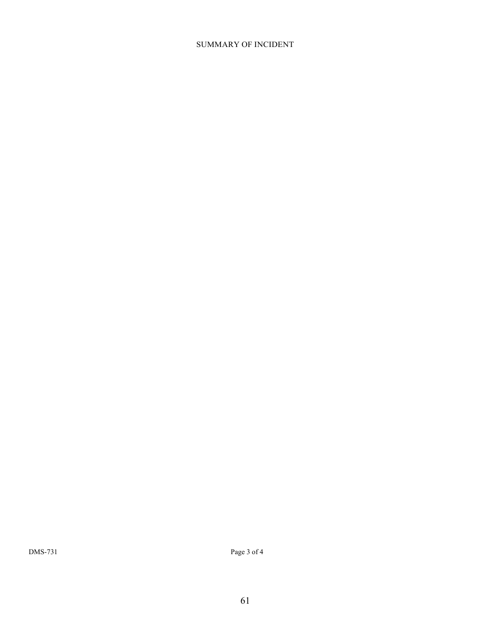#### SUMMARY OF INCIDENT

DMS-731 Page 3 of 4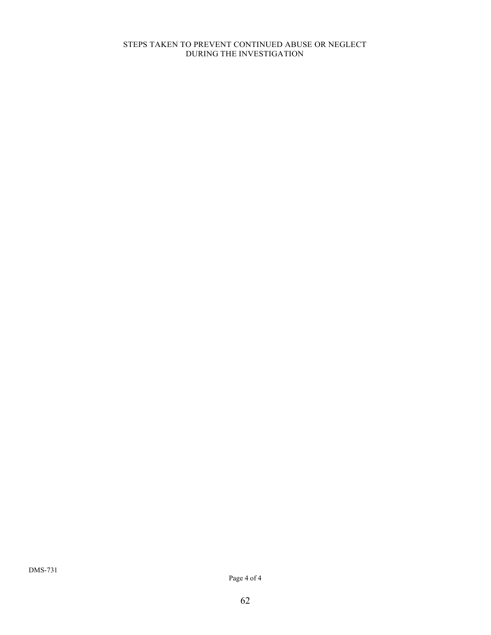#### STEPS TAKEN TO PREVENT CONTINUED ABUSE OR NEGLECT DURING THE INVESTIGATION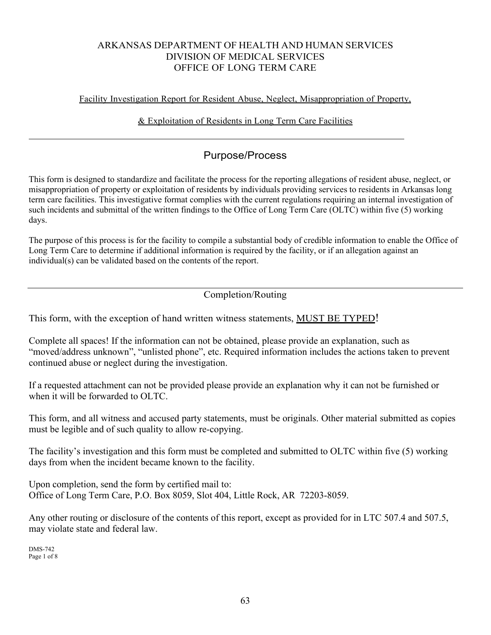# ARKANSAS DEPARTMENT OF HEALTH AND HUMAN SERVICES DIVISION OF MEDICAL SERVICES OFFICE OF LONG TERM CARE

# Facility Investigation Report for Resident Abuse, Neglect, Misappropriation of Property,

# & Exploitation of Residents in Long Term Care Facilities

# Purpose/Process

This form is designed to standardize and facilitate the process for the reporting allegations of resident abuse, neglect, or misappropriation of property or exploitation of residents by individuals providing services to residents in Arkansas long term care facilities. This investigative format complies with the current regulations requiring an internal investigation of such incidents and submittal of the written findings to the Office of Long Term Care (OLTC) within five (5) working days.

The purpose of this process is for the facility to compile a substantial body of credible information to enable the Office of Long Term Care to determine if additional information is required by the facility, or if an allegation against an individual(s) can be validated based on the contents of the report.

# Completion/Routing

This form, with the exception of hand written witness statements, MUST BE TYPED!

Complete all spaces! If the information can not be obtained, please provide an explanation, such as "moved/address unknown", "unlisted phone", etc. Required information includes the actions taken to prevent continued abuse or neglect during the investigation.

If a requested attachment can not be provided please provide an explanation why it can not be furnished or when it will be forwarded to OLTC.

This form, and all witness and accused party statements, must be originals. Other material submitted as copies must be legible and of such quality to allow re-copying.

The facility's investigation and this form must be completed and submitted to OLTC within five (5) working days from when the incident became known to the facility.

Upon completion, send the form by certified mail to: Office of Long Term Care, P.O. Box 8059, Slot 404, Little Rock, AR 72203-8059.

Any other routing or disclosure of the contents of this report, except as provided for in LTC 507.4 and 507.5, may violate state and federal law.

DMS-742 Page 1 of 8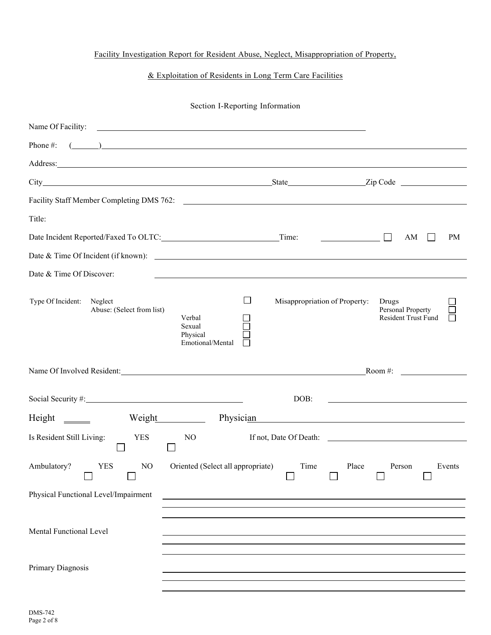# Facility Investigation Report for Resident Abuse, Neglect, Misappropriation of Property,

# & Exploitation of Residents in Long Term Care Facilities

#### Section I-Reporting Information

|                                                                                                                                                                                                                                | <u> 1989 - Andrea Stadt Britain, amerikansk politiker (</u>                                                                                                                                                                                                                                                                        |                               |                                                                                                                       |
|--------------------------------------------------------------------------------------------------------------------------------------------------------------------------------------------------------------------------------|------------------------------------------------------------------------------------------------------------------------------------------------------------------------------------------------------------------------------------------------------------------------------------------------------------------------------------|-------------------------------|-----------------------------------------------------------------------------------------------------------------------|
| Phone #:                                                                                                                                                                                                                       | $\overline{a}$ ( $\overline{a}$ ) and $\overline{a}$ and $\overline{a}$ and $\overline{a}$ and $\overline{a}$ and $\overline{a}$ and $\overline{a}$ and $\overline{a}$ and $\overline{a}$ and $\overline{a}$ and $\overline{a}$ and $\overline{a}$ and $\overline{a}$ and $\overline{a}$ and $\overline{a}$ and $\overline{a}$ and |                               |                                                                                                                       |
| Address: No. 2014 19:30 Address: No. 2014 19:30 Address: No. 2014 19:30 Address: No. 2014 19:30 Address: No. 2014 19:30 Address: No. 2014 19:30 Address: No. 2014 19:30 Address: No. 2014 19:30 Address: No. 2014 19:30 Addres |                                                                                                                                                                                                                                                                                                                                    |                               |                                                                                                                       |
|                                                                                                                                                                                                                                |                                                                                                                                                                                                                                                                                                                                    |                               |                                                                                                                       |
|                                                                                                                                                                                                                                |                                                                                                                                                                                                                                                                                                                                    |                               |                                                                                                                       |
| Title:                                                                                                                                                                                                                         |                                                                                                                                                                                                                                                                                                                                    |                               |                                                                                                                       |
| Date Incident Reported/Faxed To OLTC: Time:                                                                                                                                                                                    |                                                                                                                                                                                                                                                                                                                                    |                               | <b>PM</b><br>AM                                                                                                       |
|                                                                                                                                                                                                                                |                                                                                                                                                                                                                                                                                                                                    |                               |                                                                                                                       |
| Date & Time Of Discover:                                                                                                                                                                                                       |                                                                                                                                                                                                                                                                                                                                    |                               |                                                                                                                       |
| Type Of Incident:<br>Neglect<br>Abuse: (Select from list)                                                                                                                                                                      | $\Box$<br>Verbal<br>Sexual<br>Physical<br>Emotional/Mental                                                                                                                                                                                                                                                                         | Misappropriation of Property: | Drugs<br>Personal Property<br>Resident Trust Fund                                                                     |
|                                                                                                                                                                                                                                |                                                                                                                                                                                                                                                                                                                                    |                               |                                                                                                                       |
| Name Of Involved Resident: Room #:                                                                                                                                                                                             |                                                                                                                                                                                                                                                                                                                                    |                               |                                                                                                                       |
|                                                                                                                                                                                                                                |                                                                                                                                                                                                                                                                                                                                    | DOB:                          | <u> 1980 - Johann Barn, mars ann an t-Amhain Aonaich an t-Aonaich an t-Aonaich an t-Aonaich an t-Aonaich an t-Aon</u> |
| $Height \_\_$                                                                                                                                                                                                                  | Weight<br>Physician                                                                                                                                                                                                                                                                                                                |                               | <u> 1980 - Jan Samuel Barbara, martin da shekarar 1980 - An tsara tsara tsara tsara tsara tsara tsara tsara tsar</u>  |
| Is Resident Still Living:<br><b>YES</b>                                                                                                                                                                                        | N <sub>O</sub>                                                                                                                                                                                                                                                                                                                     |                               | If not, Date Of Death:                                                                                                |
| Ambulatory?<br><b>YES</b><br>N <sub>O</sub>                                                                                                                                                                                    | Oriented (Select all appropriate)                                                                                                                                                                                                                                                                                                  | Time                          | Place<br>Person<br>Events                                                                                             |
| Physical Functional Level/Impairment                                                                                                                                                                                           |                                                                                                                                                                                                                                                                                                                                    |                               |                                                                                                                       |
|                                                                                                                                                                                                                                |                                                                                                                                                                                                                                                                                                                                    |                               |                                                                                                                       |
| Mental Functional Level                                                                                                                                                                                                        |                                                                                                                                                                                                                                                                                                                                    |                               |                                                                                                                       |
|                                                                                                                                                                                                                                |                                                                                                                                                                                                                                                                                                                                    |                               |                                                                                                                       |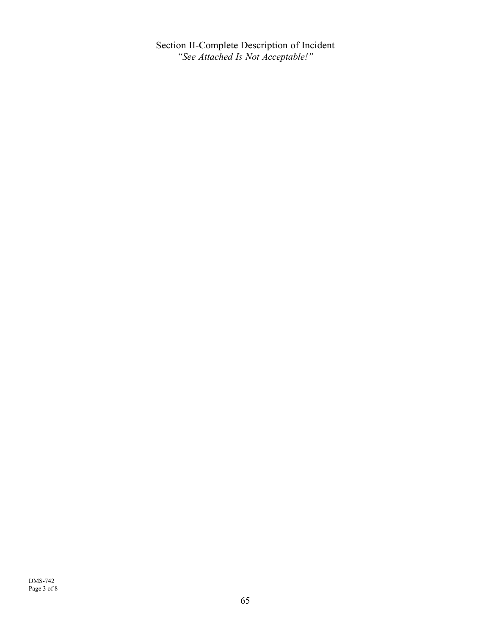Section II-Complete Description of Incident *"See Attached Is Not Acceptable!"*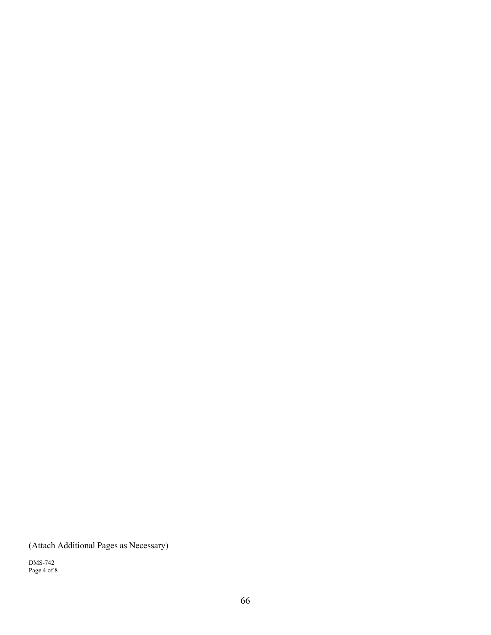(Attach Additional Pages as Necessary)

DMS-742 Page 4 of 8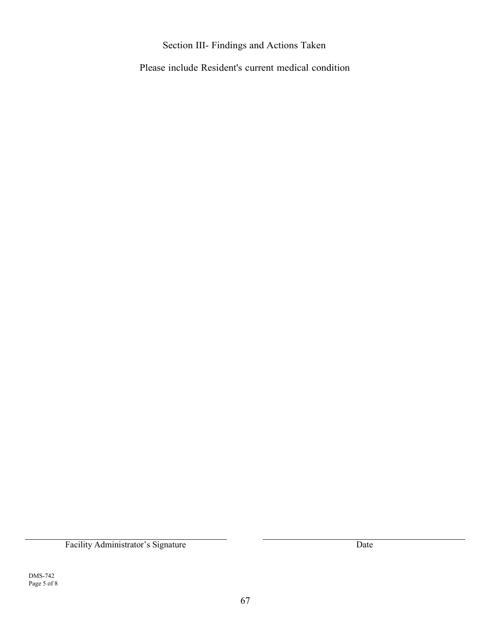# Section III- Findings and Actions Taken

Please include Resident's current medical condition

Facility Administrator's Signature Date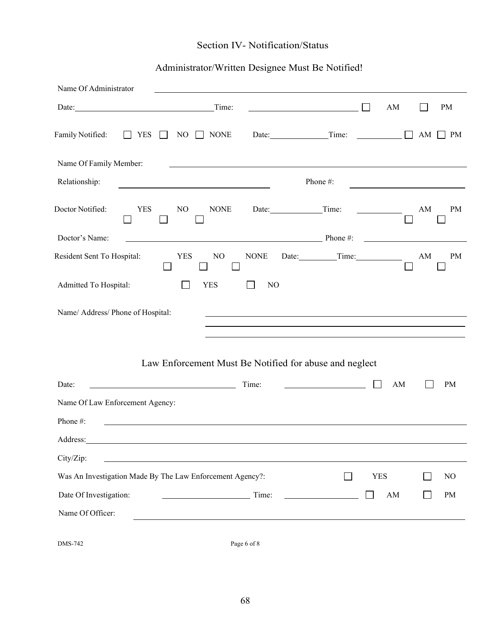# Section IV- Notification/Status

# Administrator/Written Designee Must Be Notified!

| Name Of Administrator                                                                                                                                                                                                               |                                                            |                |             |                                         |          |
|-------------------------------------------------------------------------------------------------------------------------------------------------------------------------------------------------------------------------------------|------------------------------------------------------------|----------------|-------------|-----------------------------------------|----------|
| Date: <u>and the second second</u> contains the second second second second second second second second second second second second second second second second second second second second second second second second second seco | Time:                                                      |                |             | AM                                      | PM       |
| Family Notified:<br>$\Box$ YES                                                                                                                                                                                                      | NO<br>$\Box$ NONE<br>$\mathbf{L}$                          | Date: $Time:$  |             |                                         | AM<br>PM |
| Name Of Family Member:                                                                                                                                                                                                              |                                                            |                |             |                                         |          |
| Relationship:                                                                                                                                                                                                                       | <u> 1989 - Johann Barbara, martxa alemaniar amerikan a</u> |                | Phone#:     |                                         |          |
| Doctor Notified:<br><b>YES</b>                                                                                                                                                                                                      | <b>NONE</b><br>N <sub>O</sub><br>ப                         |                | Time:       | AM                                      | PM       |
| Doctor's Name:                                                                                                                                                                                                                      | $\blacksquare$ Phone #:                                    |                |             | <u> 1989 - Johann Barbara, martin a</u> |          |
| Resident Sent To Hospital:                                                                                                                                                                                                          | $\rm NO$<br><b>YES</b>                                     | <b>NONE</b>    | Date: Time: | $\mathbf{A}\mathbf{M}$                  | PM       |
| Admitted To Hospital:                                                                                                                                                                                                               | <b>YES</b>                                                 | N <sub>O</sub> |             |                                         |          |
| Name/ Address/ Phone of Hospital:                                                                                                                                                                                                   | Law Enforcement Must Be Notified for abuse and neglect     |                |             |                                         |          |
| Date:                                                                                                                                                                                                                               | Time:<br><u> 1989 - Johann Barn, fransk politik (</u>      |                |             | AM                                      | PM       |
| Name Of Law Enforcement Agency:                                                                                                                                                                                                     |                                                            |                |             |                                         |          |
| Phone#:                                                                                                                                                                                                                             |                                                            |                |             |                                         |          |
| Address:                                                                                                                                                                                                                            |                                                            |                |             |                                         |          |
| City/Zip:                                                                                                                                                                                                                           |                                                            |                |             |                                         |          |
|                                                                                                                                                                                                                                     | Was An Investigation Made By The Law Enforcement Agency?:  |                | $\sim$      | <b>YES</b>                              | $\rm NO$ |
| Date Of Investigation:                                                                                                                                                                                                              |                                                            | Time:          |             | $\mathbf{A}\mathbf{M}$                  | $\rm PM$ |
| Name Of Officer:                                                                                                                                                                                                                    |                                                            |                |             |                                         |          |
| DMS-742                                                                                                                                                                                                                             | Page 6 of 8                                                |                |             |                                         |          |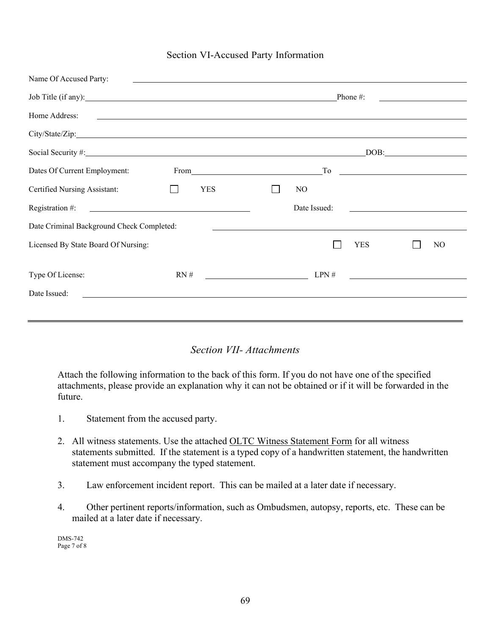# Section VI-Accused Party Information

| Name Of Accused Party:                    |                                                                                                                       |                                                                                                                      |                                                                                                                       |  |  |  |  |
|-------------------------------------------|-----------------------------------------------------------------------------------------------------------------------|----------------------------------------------------------------------------------------------------------------------|-----------------------------------------------------------------------------------------------------------------------|--|--|--|--|
| Job Title (if any):                       |                                                                                                                       |                                                                                                                      | Phone#:                                                                                                               |  |  |  |  |
| Home Address:                             |                                                                                                                       | <u> 1980 - John Barn Barn, amerikan bandar bahasa dalam bahasa dalam bahasa dalam bahasa dalam bahasa dalam baha</u> |                                                                                                                       |  |  |  |  |
|                                           |                                                                                                                       |                                                                                                                      |                                                                                                                       |  |  |  |  |
|                                           |                                                                                                                       |                                                                                                                      |                                                                                                                       |  |  |  |  |
| Dates Of Current Employment:              |                                                                                                                       | $\Gamma$ o                                                                                                           | <u> 1989 - Johann Stone, mars et al. (</u>                                                                            |  |  |  |  |
| Certified Nursing Assistant:              | <b>YES</b>                                                                                                            | N <sub>O</sub>                                                                                                       |                                                                                                                       |  |  |  |  |
| Registration #:                           | <u> 1989 - Johann Harry Harry Harry Harry Harry Harry Harry Harry Harry Harry Harry Harry Harry Harry Harry Harry</u> | Date Issued:                                                                                                         |                                                                                                                       |  |  |  |  |
| Date Criminal Background Check Completed: |                                                                                                                       | <u> 1989 - John Stoff, amerikansk politiker (d. 1989)</u>                                                            |                                                                                                                       |  |  |  |  |
| Licensed By State Board Of Nursing:       |                                                                                                                       |                                                                                                                      | YES<br>NO                                                                                                             |  |  |  |  |
| Type Of License:                          | RN#                                                                                                                   | LPN#                                                                                                                 | <u> Alban a Carl ann an t-Iomraid ann an t-Iomraid ann an t-Iomraid ann an t-Iomraid ann an t-Iomraid ann an t-Io</u> |  |  |  |  |
| Date Issued:                              | <u> 1989 - John Stein, Amerikaansk politiker (* 1989)</u>                                                             |                                                                                                                      |                                                                                                                       |  |  |  |  |
|                                           |                                                                                                                       |                                                                                                                      |                                                                                                                       |  |  |  |  |
|                                           |                                                                                                                       |                                                                                                                      |                                                                                                                       |  |  |  |  |

# *Section VII- Attachments*

Attach the following information to the back of this form. If you do not have one of the specified attachments, please provide an explanation why it can not be obtained or if it will be forwarded in the future.

- 1. Statement from the accused party.
- 2. All witness statements. Use the attached OLTC Witness Statement Form for all witness statements submitted. If the statement is a typed copy of a handwritten statement, the handwritten statement must accompany the typed statement.
- 3. Law enforcement incident report. This can be mailed at a later date if necessary.
- 4. Other pertinent reports/information, such as Ombudsmen, autopsy, reports, etc. These can be mailed at a later date if necessary.

DMS-742 Page 7 of 8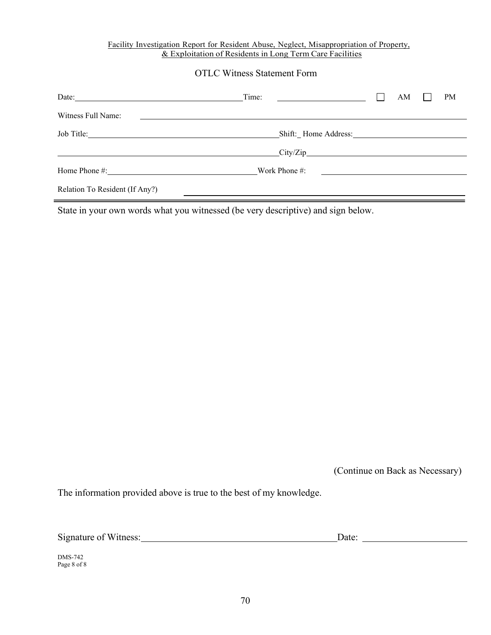#### Facility Investigation Report for Resident Abuse, Neglect, Misappropriation of Property, & Exploitation of Residents in Long Term Care Facilities

# OTLC Witness Statement Form

| Date:                               | Time:                                                                                                                 |                                                     | AM | <b>PM</b> |
|-------------------------------------|-----------------------------------------------------------------------------------------------------------------------|-----------------------------------------------------|----|-----------|
| Witness Full Name:                  | <u> 1989 - Johann Stein, mars and de Branch and de Branch and de Branch and de Branch and de Branch and de Branch</u> |                                                     |    |           |
|                                     |                                                                                                                       |                                                     |    |           |
| $\overline{\text{City}/\text{Zip}}$ |                                                                                                                       |                                                     |    |           |
|                                     | Work Phone #:                                                                                                         | <u> 1989 - Andrea Station Barbara, amerikan per</u> |    |           |
| Relation To Resident (If Any?)      |                                                                                                                       |                                                     |    |           |

State in your own words what you witnessed (be very descriptive) and sign below.

(Continue on Back as Necessary)

The information provided above is true to the best of my knowledge.

| Signature of Witness: | Date: |
|-----------------------|-------|
|                       |       |

DMS-742 Page 8 of 8